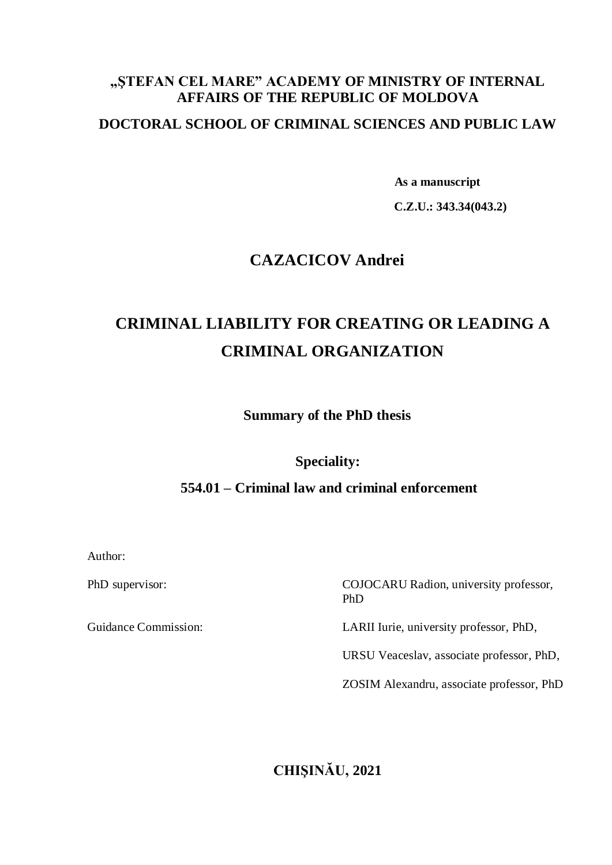## **"ŞTEFAN CEL MARE" ACADEMY OF MINISTRY OF INTERNAL AFFAIRS OF THE REPUBLIC OF MOLDOVA**

## **DOCTORAL SCHOOL OF CRIMINAL SCIENCES AND PUBLIC LAW**

 **As a manuscript**

 **C.Z.U.: 343.34(043.2)**

## **CAZACICOV Andrei**

# **CRIMINAL LIABILITY FOR CREATING OR LEADING A CRIMINAL ORGANIZATION**

**Summary of the PhD thesis**

**Speciality:**

## **554.01 – Criminal law and criminal enforcement**

Author:

PhD supervisor: COJOCARU Radion, university professor, PhD

Guidance Commission: LARII Iurie, university professor, PhD,

URSU Veaceslav, associate professor, PhD,

ZOSIM Alexandru, associate professor, PhD

## **CHIŞINĂU, 2021**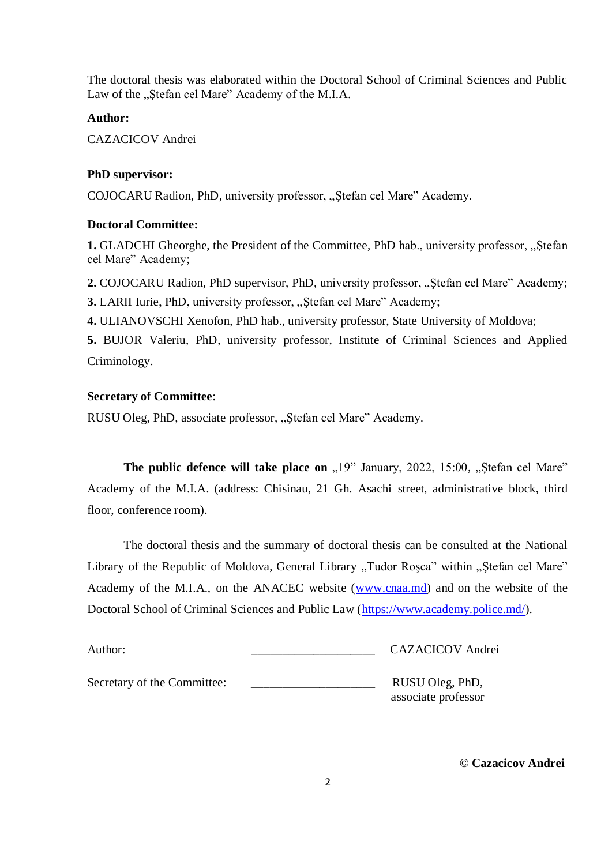The doctoral thesis was elaborated within the Doctoral School of Criminal Sciences and Public Law of the "Stefan cel Mare" Academy of the M.I.A.

### **Author:**

CAZACICOV Andrei

## **PhD supervisor:**

COJOCARU Radion, PhD, university professor, "Ștefan cel Mare" Academy.

## **Doctoral Committee:**

**1.** GLADCHI Gheorghe, the President of the Committee, PhD hab., university professor, "Ștefan cel Mare" Academy;

2. COJOCARU Radion, PhD supervisor, PhD, university professor, "Ștefan cel Mare" Academy; **3.** LARII Iurie, PhD, university professor, "Stefan cel Mare" Academy;

**4.** ULIANOVSCHI Xenofon, PhD hab., university professor, State University of Moldova;

**5.** BUJOR Valeriu, PhD, university professor, Institute of Criminal Sciences and Applied Criminology.

## **Secretary of Committee**:

RUSU Oleg, PhD, associate professor, "Ștefan cel Mare" Academy.

**The public defence will take place on**  $,19$ **" January, 2022, 15:00,**  $,$ **Stefan cel Mare"** Academy of the M.I.A. (address: Chisinau, 21 Gh. Asachi street, administrative block, third floor, conference room).

The doctoral thesis and the summary of doctoral thesis can be consulted at the National Library of the Republic of Moldova, General Library "Tudor Roșca" within "Ștefan cel Mare" Academy of the M.I.A., on the ANACEC website [\(www.cnaa.md\)](http://www.cnaa.md/) and on the website of the Doctoral School of Criminal Sciences and Public Law [\(https://www.academy.police.md/\)](https://www.academy.police.md/).

| Author:                     | <b>CAZACICOV</b> Andrei                |
|-----------------------------|----------------------------------------|
| Secretary of the Committee: | RUSU Oleg, PhD,<br>associate professor |

 **© Cazacicov Andrei**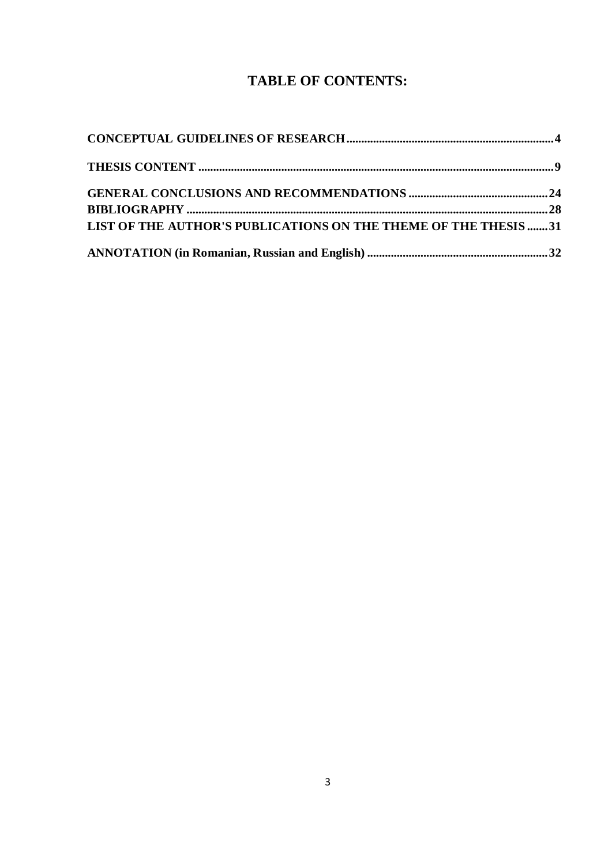## **TABLE OF CONTENTS:**

| LIST OF THE AUTHOR'S PUBLICATIONS ON THE THEME OF THE THESIS 31 |  |
|-----------------------------------------------------------------|--|
|                                                                 |  |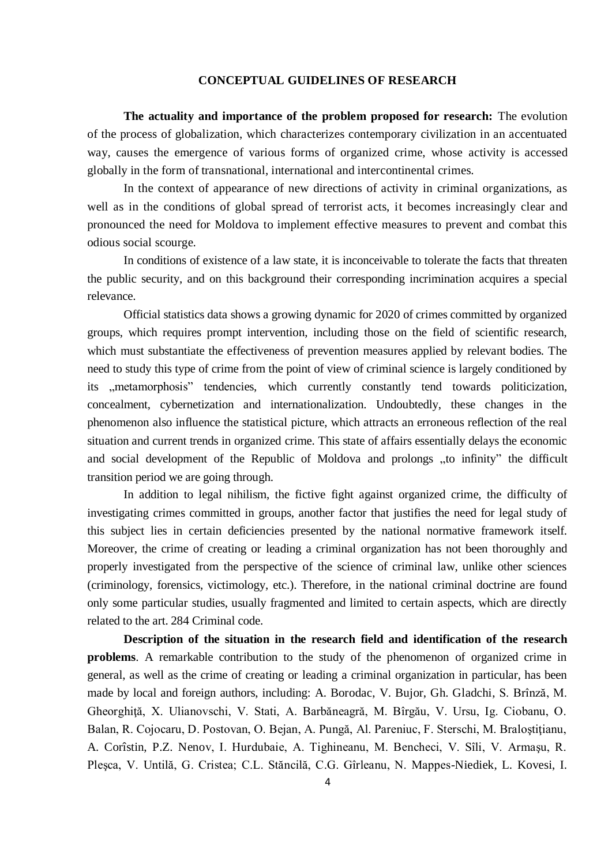#### **CONCEPTUAL GUIDELINES OF RESEARCH**

**The actuality and importance of the problem proposed for research:** The evolution of the process of globalization, which characterizes contemporary civilization in an accentuated way, causes the emergence of various forms of organized crime, whose activity is accessed globally in the form of transnational, international and intercontinental crimes.

In the context of appearance of new directions of activity in criminal organizations, as well as in the conditions of global spread of terrorist acts, it becomes increasingly clear and pronounced the need for Moldova to implement effective measures to prevent and combat this odious social scourge.

In conditions of existence of a law state, it is inconceivable to tolerate the facts that threaten the public security, and on this background their corresponding incrimination acquires a special relevance.

Official statistics data shows a growing dynamic for 2020 of crimes committed by organized groups, which requires prompt intervention, including those on the field of scientific research, which must substantiate the effectiveness of prevention measures applied by relevant bodies. The need to study this type of crime from the point of view of criminal science is largely conditioned by its ,,metamorphosis" tendencies, which currently constantly tend towards politicization, concealment, cybernetization and internationalization. Undoubtedly, these changes in the phenomenon also influence the statistical picture, which attracts an erroneous reflection of the real situation and current trends in organized crime. This state of affairs essentially delays the economic and social development of the Republic of Moldova and prolongs "to infinity" the difficult transition period we are going through.

In addition to legal nihilism, the fictive fight against organized crime, the difficulty of investigating crimes committed in groups, another factor that justifies the need for legal study of this subject lies in certain deficiencies presented by the national normative framework itself. Moreover, the crime of creating or leading a criminal organization has not been thoroughly and properly investigated from the perspective of the science of criminal law, unlike other sciences (criminology, forensics, victimology, etc.). Therefore, in the national criminal doctrine are found only some particular studies, usually fragmented and limited to certain aspects, which are directly related to the art. 284 Criminal code.

**Description of the situation in the research field and identification of the research problems**. A remarkable contribution to the study of the phenomenon of organized crime in general, as well as the crime of creating or leading a criminal organization in particular, has been made by local and foreign authors, including: A. Borodac, V. Bujor, Gh. Gladchi, S. Brînză, M. Gheorghiţă, X. Ulianovschi, V. Stati, A. Barbăneagră, M. Bîrgău, V. Ursu, Ig. Ciobanu, O. Balan, R. Cojocaru, D. Postovan, O. Bejan, A. Pungă, Al. Pareniuc, F. Sterschi, M. Braloştiţianu, A. Corîstin, P.Z. Nenov, I. Hurdubaie, A. Tighineanu, M. Bencheci, V. Sîli, V. Armaşu, R. Pleşca, V. Untilă, G. Cristea; C.L. Stăncilă, C.G. Gîrleanu, N. Mappes-Niediek, L. Kovesi, I.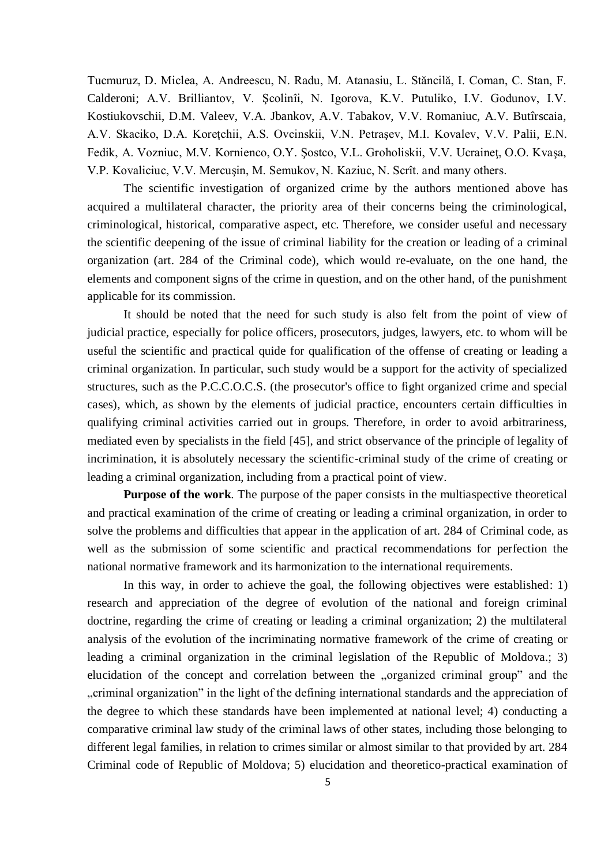Tucmuruz, D. Miclea, A. Andreescu, N. Radu, M. Atanasiu, L. Stăncilă, I. Coman, C. Stan, F. Calderoni; A.V. Brilliantov, V. Şcolinîi, N. Igorova, K.V. Putuliko, I.V. Godunov, I.V. Kostiukovschii, D.M. Valeev, V.A. Jbankov, A.V. Tabakov, V.V. Romaniuc, A.V. Butîrscaia, A.V. Skaciko, D.A. Koreţchii, A.S. Ovcinskii, V.N. Petraşev, M.I. Kovalev, V.V. Palii, E.N. Fedik, A. Vozniuc, M.V. Kornienco, O.Y. Şostco, V.L. Groholiskii, V.V. Ucraineţ, O.O. Kvaşa, V.P. Kovaliciuc, V.V. Mercuşin, M. Semukov, N. Kaziuc, N. Scrît. and many others.

The scientific investigation of organized crime by the authors mentioned above has acquired a multilateral character, the priority area of their concerns being the criminological, criminological, historical, comparative aspect, etc. Therefore, we consider useful and necessary the scientific deepening of the issue of criminal liability for the creation or leading of a criminal organization (art. 284 of the Criminal code), which would re-evaluate, on the one hand, the elements and component signs of the crime in question, and on the other hand, of the punishment applicable for its commission.

It should be noted that the need for such study is also felt from the point of view of judicial practice, especially for police officers, prosecutors, judges, lawyers, etc. to whom will be useful the scientific and practical quide for qualification of the offense of creating or leading a criminal organization. In particular, such study would be a support for the activity of specialized structures, such as the P.C.C.O.C.S. (the prosecutor's office to fight organized crime and special cases), which, as shown by the elements of judicial practice, encounters certain difficulties in qualifying criminal activities carried out in groups. Therefore, in order to avoid arbitrariness, mediated even by specialists in the field [45], and strict observance of the principle of legality of incrimination, it is absolutely necessary the scientific-criminal study of the crime of creating or leading a criminal organization, including from a practical point of view.

**Purpose of the work**. The purpose of the paper consists in the multiaspective theoretical and practical examination of the crime of creating or leading a criminal organization, in order to solve the problems and difficulties that appear in the application of art. 284 of Criminal code, as well as the submission of some scientific and practical recommendations for perfection the national normative framework and its harmonization to the international requirements.

In this way, in order to achieve the goal, the following objectives were established: 1) research and appreciation of the degree of evolution of the national and foreign criminal doctrine, regarding the crime of creating or leading a criminal organization; 2) the multilateral analysis of the evolution of the incriminating normative framework of the crime of creating or leading a criminal organization in the criminal legislation of the Republic of Moldova.; 3) elucidation of the concept and correlation between the "organized criminal group" and the "", criminal organization" in the light of the defining international standards and the appreciation of the degree to which these standards have been implemented at national level; 4) conducting a comparative criminal law study of the criminal laws of other states, including those belonging to different legal families, in relation to crimes similar or almost similar to that provided by art. 284 Criminal code of Republic of Moldova; 5) elucidation and theoretico-practical examination of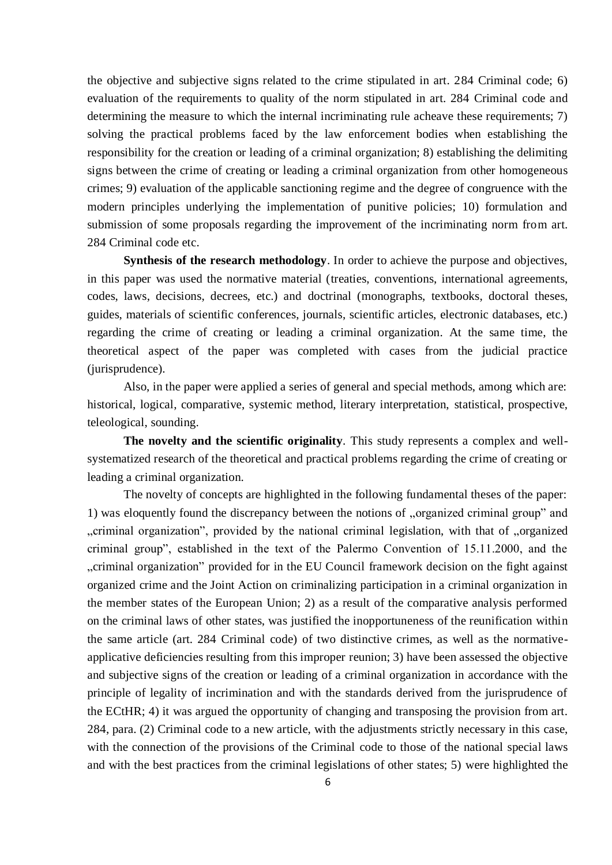the objective and subjective signs related to the crime stipulated in art. 284 Criminal code; 6) evaluation of the requirements to quality of the norm stipulated in art. 284 Criminal code and determining the measure to which the internal incriminating rule acheave these requirements; 7) solving the practical problems faced by the law enforcement bodies when establishing the responsibility for the creation or leading of a criminal organization; 8) establishing the delimiting signs between the crime of creating or leading a criminal organization from other homogeneous crimes; 9) evaluation of the applicable sanctioning regime and the degree of congruence with the modern principles underlying the implementation of punitive policies; 10) formulation and submission of some proposals regarding the improvement of the incriminating norm from art. 284 Criminal code etc.

**Synthesis of the research methodology**. In order to achieve the purpose and objectives, in this paper was used the normative material (treaties, conventions, international agreements, codes, laws, decisions, decrees, etc.) and doctrinal (monographs, textbooks, doctoral theses, guides, materials of scientific conferences, journals, scientific articles, electronic databases, etc.) regarding the crime of creating or leading a criminal organization. At the same time, the theoretical aspect of the paper was completed with cases from the judicial practice (jurisprudence).

Also, in the paper were applied a series of general and special methods, among which are: historical, logical, comparative, systemic method, literary interpretation, statistical, prospective, teleological, sounding.

**The novelty and the scientific originality**. This study represents a complex and wellsystematized research of the theoretical and practical problems regarding the crime of creating or leading a criminal organization.

The novelty of concepts are highlighted in the following fundamental theses of the paper: 1) was eloquently found the discrepancy between the notions of "organized criminal group" and , criminal organization", provided by the national criminal legislation, with that of "organized criminal group", established in the text of the Palermo Convention of 15.11.2000, and the "., criminal organization" provided for in the EU Council framework decision on the fight against organized crime and the Joint Action on criminalizing participation in a criminal organization in the member states of the European Union; 2) as a result of the comparative analysis performed on the criminal laws of other states, was justified the inopportuneness of the reunification within the same article (art. 284 Criminal code) of two distinctive crimes, as well as the normativeapplicative deficiencies resulting from this improper reunion; 3) have been assessed the objective and subjective signs of the creation or leading of a criminal organization in accordance with the principle of legality of incrimination and with the standards derived from the jurisprudence of the ECtHR; 4) it was argued the opportunity of changing and transposing the provision from art. 284, para. (2) Criminal code to a new article, with the adjustments strictly necessary in this case, with the connection of the provisions of the Criminal code to those of the national special laws and with the best practices from the criminal legislations of other states; 5) were highlighted the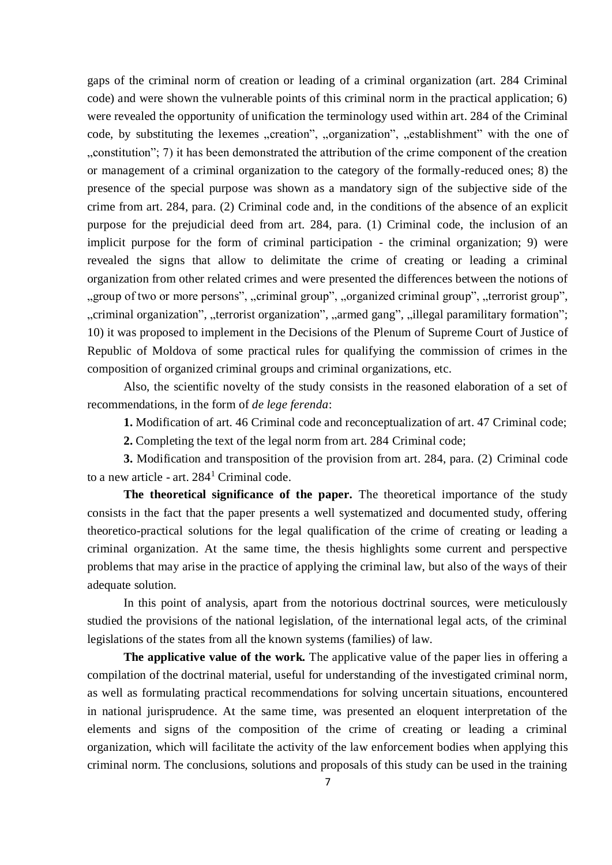gaps of the criminal norm of creation or leading of a criminal organization (art. 284 Criminal code) and were shown the vulnerable points of this criminal norm in the practical application; 6) were revealed the opportunity of unification the terminology used within art. 284 of the Criminal code, by substituting the lexemes "creation", "organization", "establishment" with the one of "constitution"; 7) it has been demonstrated the attribution of the crime component of the creation. or management of a criminal organization to the category of the formally-reduced ones; 8) the presence of the special purpose was shown as a mandatory sign of the subjective side of the crime from art. 284, para. (2) Criminal code and, in the conditions of the absence of an explicit purpose for the prejudicial deed from art. 284, para. (1) Criminal code, the inclusion of an implicit purpose for the form of criminal participation - the criminal organization; 9) were revealed the signs that allow to delimitate the crime of creating or leading a criminal organization from other related crimes and were presented the differences between the notions of ", group of two or more persons", ", criminal group", ", organized criminal group", ", terrorist group", ", criminal organization", ", terrorist organization", ", armed gang", ", illegal paramilitary formation"; 10) it was proposed to implement in the Decisions of the Plenum of Supreme Court of Justice of Republic of Moldova of some practical rules for qualifying the commission of crimes in the composition of organized criminal groups and criminal organizations, etc.

Also, the scientific novelty of the study consists in the reasoned elaboration of a set of recommendations, in the form of *de lege ferenda*:

**1.** Modification of art. 46 Criminal code and reconceptualization of art. 47 Criminal code;

**2.** Completing the text of the legal norm from art. 284 Criminal code;

**3.** Modification and transposition of the provision from art. 284, para. (2) Criminal code to a new article - art.  $284<sup>1</sup>$  Criminal code.

**The theoretical significance of the paper.** The theoretical importance of the study consists in the fact that the paper presents a well systematized and documented study, offering theoretico-practical solutions for the legal qualification of the crime of creating or leading a criminal organization. At the same time, the thesis highlights some current and perspective problems that may arise in the practice of applying the criminal law, but also of the ways of their adequate solution.

In this point of analysis, apart from the notorious doctrinal sources, were meticulously studied the provisions of the national legislation, of the international legal acts, of the criminal legislations of the states from all the known systems (families) of law.

**The applicative value of the work.** The applicative value of the paper lies in offering a compilation of the doctrinal material, useful for understanding of the investigated criminal norm, as well as formulating practical recommendations for solving uncertain situations, encountered in national jurisprudence. At the same time, was presented an eloquent interpretation of the elements and signs of the composition of the crime of creating or leading a criminal organization, which will facilitate the activity of the law enforcement bodies when applying this criminal norm. The conclusions, solutions and proposals of this study can be used in the training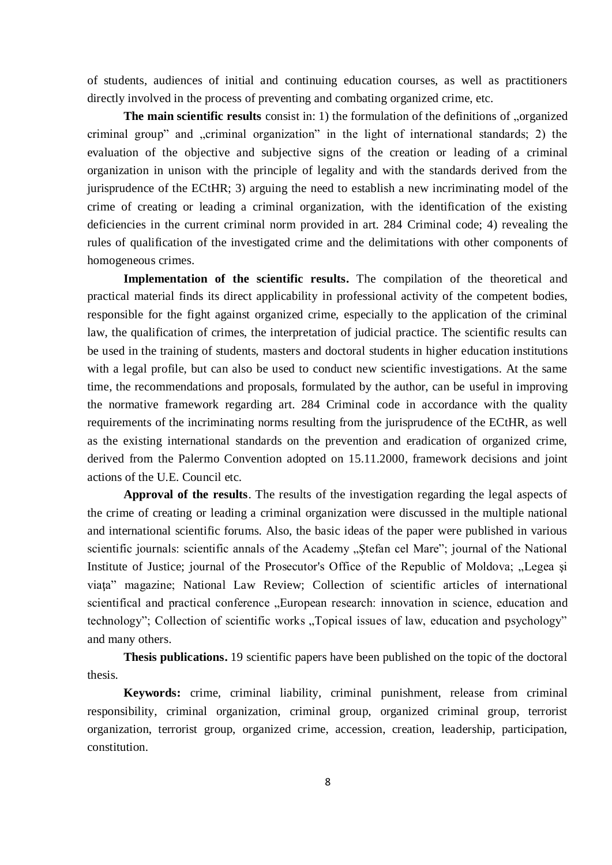of students, audiences of initial and continuing education courses, as well as practitioners directly involved in the process of preventing and combating organized crime, etc.

**The main scientific results** consist in: 1) the formulation of the definitions of "organized criminal group" and "criminal organization" in the light of international standards; 2) the evaluation of the objective and subjective signs of the creation or leading of a criminal organization in unison with the principle of legality and with the standards derived from the jurisprudence of the ECtHR; 3) arguing the need to establish a new incriminating model of the crime of creating or leading a criminal organization, with the identification of the existing deficiencies in the current criminal norm provided in art. 284 Criminal code; 4) revealing the rules of qualification of the investigated crime and the delimitations with other components of homogeneous crimes.

**Implementation of the scientific results.** The compilation of the theoretical and practical material finds its direct applicability in professional activity of the competent bodies, responsible for the fight against organized crime, especially to the application of the criminal law, the qualification of crimes, the interpretation of judicial practice. The scientific results can be used in the training of students, masters and doctoral students in higher education institutions with a legal profile, but can also be used to conduct new scientific investigations. At the same time, the recommendations and proposals, formulated by the author, can be useful in improving the normative framework regarding art. 284 Criminal code in accordance with the quality requirements of the incriminating norms resulting from the jurisprudence of the ECtHR, as well as the existing international standards on the prevention and eradication of organized crime, derived from the Palermo Convention adopted on 15.11.2000, framework decisions and joint actions of the U.E. Council etc.

**Approval of the results**. The results of the investigation regarding the legal aspects of the crime of creating or leading a criminal organization were discussed in the multiple national and international scientific forums. Also, the basic ideas of the paper were published in various scientific journals: scientific annals of the Academy "Stefan cel Mare"; journal of the National Institute of Justice; journal of the Prosecutor's Office of the Republic of Moldova; "Legea și viaţa" magazine; National Law Review; Collection of scientific articles of international scientifical and practical conference "European research: innovation in science, education and technology"; Collection of scientific works "Topical issues of law, education and psychology" and many others.

**Thesis publications.** 19 scientific papers have been published on the topic of the doctoral thesis.

**Keywords:** crime, criminal liability, criminal punishment, release from criminal responsibility, criminal organization, criminal group, organized criminal group, terrorist organization, terrorist group, organized crime, accession, creation, leadership, participation, constitution.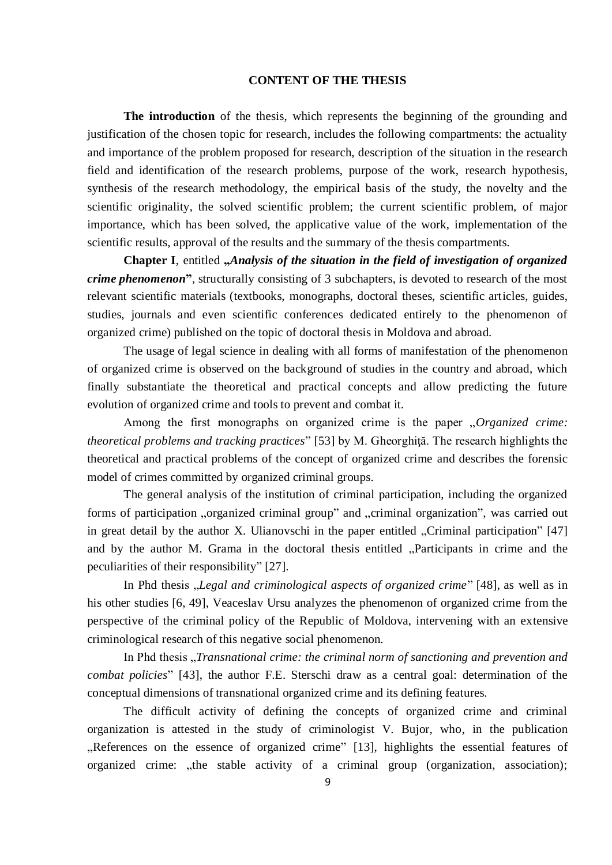#### **CONTENT OF THE THESIS**

**The introduction** of the thesis, which represents the beginning of the grounding and justification of the chosen topic for research, includes the following compartments: the actuality and importance of the problem proposed for research, description of the situation in the research field and identification of the research problems, purpose of the work, research hypothesis, synthesis of the research methodology, the empirical basis of the study, the novelty and the scientific originality, the solved scientific problem; the current scientific problem, of major importance, which has been solved, the applicative value of the work, implementation of the scientific results, approval of the results and the summary of the thesis compartments.

**Chapter I**, entitled **"***Analysis of the situation in the field of investigation of organized crime phenomenon***"**, structurally consisting of 3 subchapters, is devoted to research of the most relevant scientific materials (textbooks, monographs, doctoral theses, scientific articles, guides, studies, journals and even scientific conferences dedicated entirely to the phenomenon of organized crime) published on the topic of doctoral thesis in Moldova and abroad.

The usage of legal science in dealing with all forms of manifestation of the phenomenon of organized crime is observed on the background of studies in the country and abroad, which finally substantiate the theoretical and practical concepts and allow predicting the future evolution of organized crime and tools to prevent and combat it.

Among the first monographs on organized crime is the paper "*Organized crime: theoretical problems and tracking practices*" [53] by M. Gheorghiţă. The research highlights the theoretical and practical problems of the concept of organized crime and describes the forensic model of crimes committed by organized criminal groups.

The general analysis of the institution of criminal participation, including the organized forms of participation "organized criminal group" and "criminal organization", was carried out in great detail by the author X. Ulianovschi in the paper entitled  $,C$ riminal participation" [47] and by the author M. Grama in the doctoral thesis entitled "Participants in crime and the peculiarities of their responsibility" [27].

In Phd thesis "*Legal and criminological aspects of organized crime*" [48], as well as in his other studies [6, 49], Veaceslav Ursu analyzes the phenomenon of organized crime from the perspective of the criminal policy of the Republic of Moldova, intervening with an extensive criminological research of this negative social phenomenon.

In Phd thesis "*Transnational crime: the criminal norm of sanctioning and prevention and combat policies*" [43], the author F.E. Sterschi draw as a central goal: determination of the conceptual dimensions of transnational organized crime and its defining features.

The difficult activity of defining the concepts of organized crime and criminal organization is attested in the study of criminologist V. Bujor, who, in the publication "References on the essence of organized crime" [13], highlights the essential features of organized crime: "the stable activity of a criminal group (organization, association);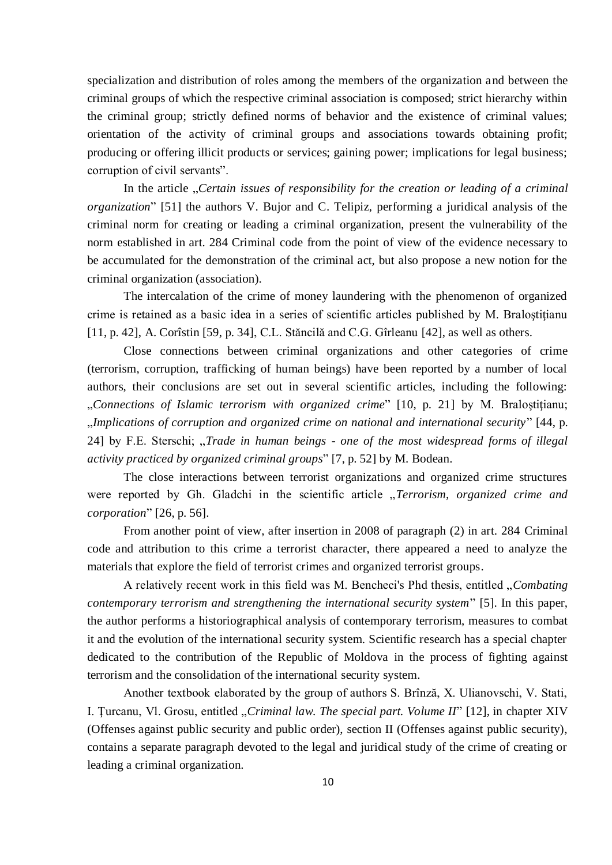specialization and distribution of roles among the members of the organization and between the criminal groups of which the respective criminal association is composed; strict hierarchy within the criminal group; strictly defined norms of behavior and the existence of criminal values; orientation of the activity of criminal groups and associations towards obtaining profit; producing or offering illicit products or services; gaining power; implications for legal business; corruption of civil servants".

In the article *"Certain issues of responsibility for the creation or leading of a criminal organization*" [51] the authors V. Bujor and C. Telipiz, performing a juridical analysis of the criminal norm for creating or leading a criminal organization, present the vulnerability of the norm established in art. 284 Criminal code from the point of view of the evidence necessary to be accumulated for the demonstration of the criminal act, but also propose a new notion for the criminal organization (association).

The intercalation of the crime of money laundering with the phenomenon of organized crime is retained as a basic idea in a series of scientific articles published by M. Braloştiţianu [11, p. 42], A. Corîstin [59, p. 34], C.L. Stăncilă and C.G. Gîrleanu [42], as well as others.

Close connections between criminal organizations and other categories of crime (terrorism, corruption, trafficking of human beings) have been reported by a number of local authors, their conclusions are set out in several scientific articles, including the following: "*Connections of Islamic terrorism with organized crime*" [10, p. 21] by M. Braloştiţianu; "*Implications of corruption and organized crime on national and international security*" [44, p. 24] by F.E. Sterschi; "*Trade in human beings - one of the most widespread forms of illegal activity practiced by organized criminal groups*" [7, p. 52] by M. Bodean.

The close interactions between terrorist organizations and organized crime structures were reported by Gh. Gladchi in the scientific article "*Terrorism, organized crime and corporation*" [26, p. 56].

From another point of view, after insertion in 2008 of paragraph (2) in art. 284 Criminal code and attribution to this crime a terrorist character, there appeared a need to analyze the materials that explore the field of terrorist crimes and organized terrorist groups.

A relatively recent work in this field was M. Bencheci's Phd thesis, entitled "*Combating contemporary terrorism and strengthening the international security system*" [5]. In this paper, the author performs a historiographical analysis of contemporary terrorism, measures to combat it and the evolution of the international security system. Scientific research has a special chapter dedicated to the contribution of the Republic of Moldova in the process of fighting against terrorism and the consolidation of the international security system.

Another textbook elaborated by the group of authors S. Brînză, X. Ulianovschi, V. Stati, I. Ţurcanu, Vl. Grosu, entitled "*Criminal law. The special part. Volume II*" [12], in chapter XIV (Offenses against public security and public order), section II (Offenses against public security), contains a separate paragraph devoted to the legal and juridical study of the crime of creating or leading a criminal organization.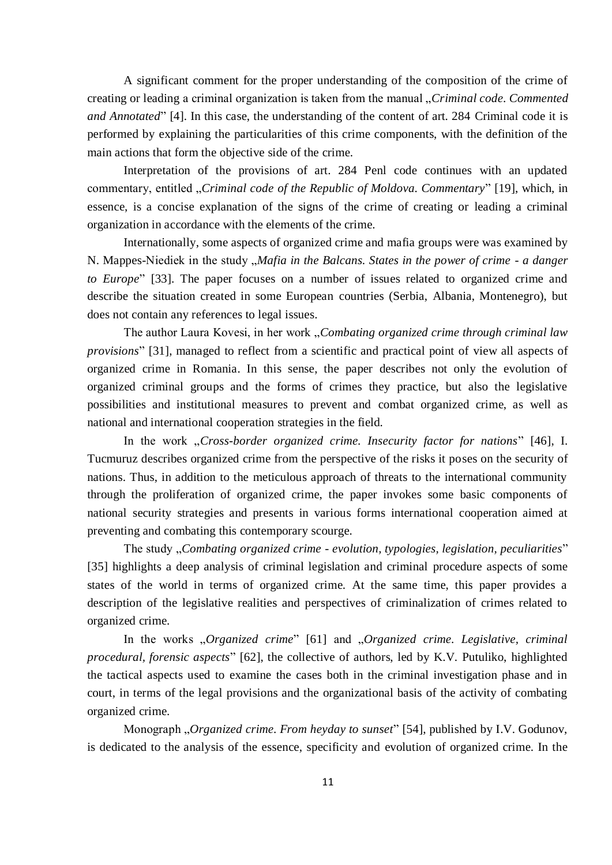A significant comment for the proper understanding of the composition of the crime of creating or leading a criminal organization is taken from the manual "*Criminal code. Commented and Annotated*" [4]. In this case, the understanding of the content of art. 284 Criminal code it is performed by explaining the particularities of this crime components, with the definition of the main actions that form the objective side of the crime.

Interpretation of the provisions of art. 284 Penl code continues with an updated commentary, entitled "*Criminal code of the Republic of Moldova. Commentary*" [19], which, in essence, is a concise explanation of the signs of the crime of creating or leading a criminal organization in accordance with the elements of the crime.

Internationally, some aspects of organized crime and mafia groups were was examined by N. Mappes-Niediek in the study "*Mafia in the Balcans. States in the power of crime - a danger to Europe*" [33]. The paper focuses on a number of issues related to organized crime and describe the situation created in some European countries (Serbia, Albania, Montenegro), but does not contain any references to legal issues.

The author Laura Kovesi, in her work "*Combating organized crime through criminal law provisions*" [31], managed to reflect from a scientific and practical point of view all aspects of organized crime in Romania. In this sense, the paper describes not only the evolution of organized criminal groups and the forms of crimes they practice, but also the legislative possibilities and institutional measures to prevent and combat organized crime, as well as national and international cooperation strategies in the field.

In the work "*Cross-border organized crime. Insecurity factor for nations*" [46], I. Tucmuruz describes organized crime from the perspective of the risks it poses on the security of nations. Thus, in addition to the meticulous approach of threats to the international community through the proliferation of organized crime, the paper invokes some basic components of national security strategies and presents in various forms international cooperation aimed at preventing and combating this contemporary scourge.

The study "*Combating organized crime - evolution, typologies, legislation, peculiarities*" [35] highlights a deep analysis of criminal legislation and criminal procedure aspects of some states of the world in terms of organized crime. At the same time, this paper provides a description of the legislative realities and perspectives of criminalization of crimes related to organized crime.

In the works "*Organized crime*" [61] and "*Organized crime. Legislative, criminal procedural, forensic aspects*" [62], the collective of authors, led by K.V. Putuliko, highlighted the tactical aspects used to examine the cases both in the criminal investigation phase and in court, in terms of the legal provisions and the organizational basis of the activity of combating organized crime.

Monograph "*Organized crime. From heyday to sunset*" [54], published by I.V. Godunov, is dedicated to the analysis of the essence, specificity and evolution of organized crime. In the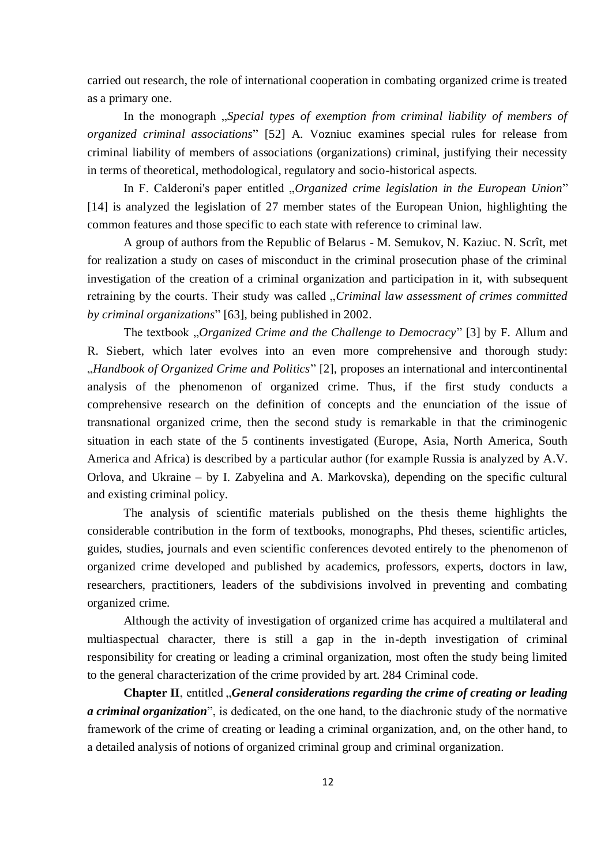carried out research, the role of international cooperation in combating organized crime is treated as a primary one.

In the monograph "*Special types of exemption from criminal liability of members of organized criminal associations*" [52] A. Vozniuc examines special rules for release from criminal liability of members of associations (organizations) criminal, justifying their necessity in terms of theoretical, methodological, regulatory and socio-historical aspects.

In F. Calderoni's paper entitled "*Organized crime legislation in the European Union*" [14] is analyzed the legislation of 27 member states of the European Union, highlighting the common features and those specific to each state with reference to criminal law.

A group of authors from the Republic of Belarus - M. Semukov, N. Kaziuc. N. Scrît, met for realization a study on cases of misconduct in the criminal prosecution phase of the criminal investigation of the creation of a criminal organization and participation in it, with subsequent retraining by the courts. Their study was called "*Criminal law assessment of crimes committed by criminal organizations*" [63], being published in 2002.

The textbook "*Organized Crime and the Challenge to Democracy*" [3] by F. Allum and R. Siebert, which later evolves into an even more comprehensive and thorough study: "*Handbook of Organized Crime and Politics*" [2], proposes an international and intercontinental analysis of the phenomenon of organized crime. Thus, if the first study conducts a comprehensive research on the definition of concepts and the enunciation of the issue of transnational organized crime, then the second study is remarkable in that the criminogenic situation in each state of the 5 continents investigated (Europe, Asia, North America, South America and Africa) is described by a particular author (for example Russia is analyzed by A.V. Orlova, and Ukraine – by I. Zabyelina and A. Markovska), depending on the specific cultural and existing criminal policy.

The analysis of scientific materials published on the thesis theme highlights the considerable contribution in the form of textbooks, monographs, Phd theses, scientific articles, guides, studies, journals and even scientific conferences devoted entirely to the phenomenon of organized crime developed and published by academics, professors, experts, doctors in law, researchers, practitioners, leaders of the subdivisions involved in preventing and combating organized crime.

Although the activity of investigation of organized crime has acquired a multilateral and multiaspectual character, there is still a gap in the in-depth investigation of criminal responsibility for creating or leading a criminal organization, most often the study being limited to the general characterization of the crime provided by art. 284 Criminal code.

**Chapter II**, entitled "*General considerations regarding the crime of creating or leading a criminal organization*", is dedicated, on the one hand, to the diachronic study of the normative framework of the crime of creating or leading a criminal organization, and, on the other hand, to a detailed analysis of notions of organized criminal group and criminal organization.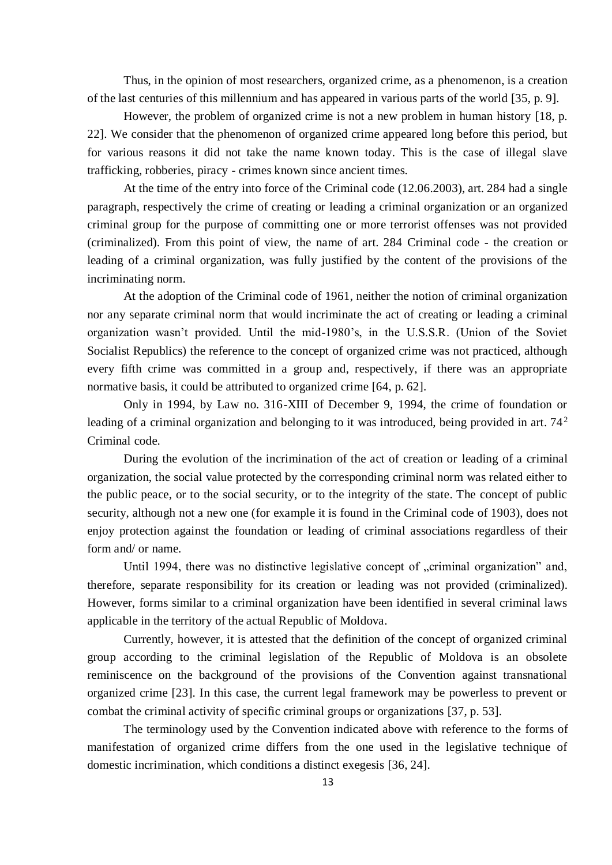Thus, in the opinion of most researchers, organized crime, as a phenomenon, is a creation of the last centuries of this millennium and has appeared in various parts of the world [35, p. 9].

However, the problem of organized crime is not a new problem in human history [18, p. 22]. We consider that the phenomenon of organized crime appeared long before this period, but for various reasons it did not take the name known today. This is the case of illegal slave trafficking, robberies, piracy - crimes known since ancient times.

At the time of the entry into force of the Criminal code (12.06.2003), art. 284 had a single paragraph, respectively the crime of creating or leading a criminal organization or an organized criminal group for the purpose of committing one or more terrorist offenses was not provided (criminalized). From this point of view, the name of art. 284 Criminal code - the creation or leading of a criminal organization, was fully justified by the content of the provisions of the incriminating norm.

At the adoption of the Criminal code of 1961, neither the notion of criminal organization nor any separate criminal norm that would incriminate the act of creating or leading a criminal organization wasn't provided. Until the mid-1980's, in the U.S.S.R. (Union of the Soviet Socialist Republics) the reference to the concept of organized crime was not practiced, although every fifth crime was committed in a group and, respectively, if there was an appropriate normative basis, it could be attributed to organized crime [64, p. 62].

Only in 1994, by Law no. 316-XIII of December 9, 1994, the crime of foundation or leading of a criminal organization and belonging to it was introduced, being provided in art. 74<sup>2</sup> Criminal code.

During the evolution of the incrimination of the act of creation or leading of a criminal organization, the social value protected by the corresponding criminal norm was related either to the public peace, or to the social security, or to the integrity of the state. The concept of public security, although not a new one (for example it is found in the Criminal code of 1903), does not enjoy protection against the foundation or leading of criminal associations regardless of their form and/ or name.

Until 1994, there was no distinctive legislative concept of "criminal organization" and, therefore, separate responsibility for its creation or leading was not provided (criminalized). However, forms similar to a criminal organization have been identified in several criminal laws applicable in the territory of the actual Republic of Moldova.

Currently, however, it is attested that the definition of the concept of organized criminal group according to the criminal legislation of the Republic of Moldova is an obsolete reminiscence on the background of the provisions of the Convention against transnational organized crime [23]. In this case, the current legal framework may be powerless to prevent or combat the criminal activity of specific criminal groups or organizations [37, p. 53].

The terminology used by the Convention indicated above with reference to the forms of manifestation of organized crime differs from the one used in the legislative technique of domestic incrimination, which conditions a distinct exegesis [36, 24].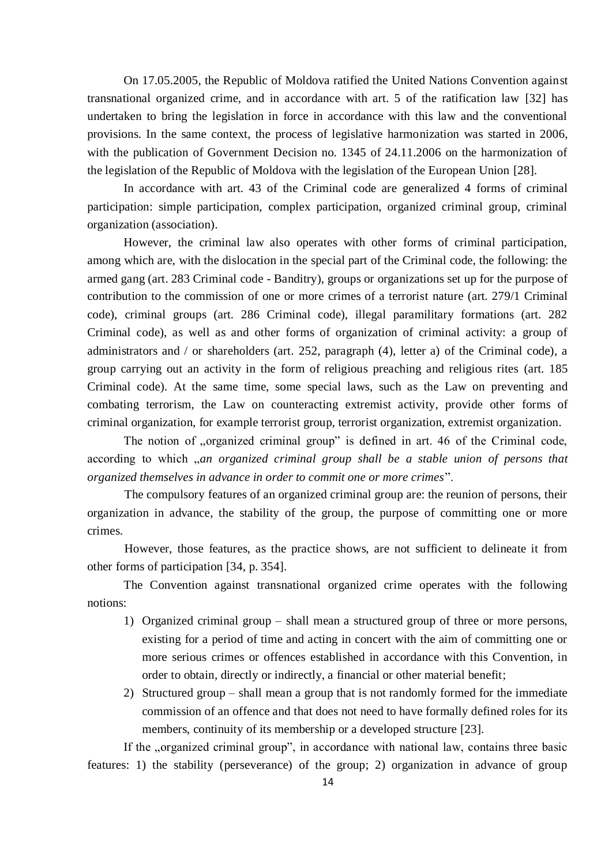On 17.05.2005, the Republic of Moldova ratified the United Nations Convention against transnational organized crime, and in accordance with art. 5 of the ratification law [32] has undertaken to bring the legislation in force in accordance with this law and the conventional provisions. In the same context, the process of legislative harmonization was started in 2006, with the publication of Government Decision no. 1345 of 24.11.2006 on the harmonization of the legislation of the Republic of Moldova with the legislation of the European Union [28].

In accordance with art. 43 of the Criminal code are generalized 4 forms of criminal participation: simple participation, complex participation, organized criminal group, criminal organization (association).

However, the criminal law also operates with other forms of criminal participation, among which are, with the dislocation in the special part of the Criminal code, the following: the armed gang (art. 283 Criminal code - Banditry), groups or organizations set up for the purpose of contribution to the commission of one or more crimes of a terrorist nature (art. 279/1 Criminal code), criminal groups (art. 286 Criminal code), illegal paramilitary formations (art. 282 Criminal code), as well as and other forms of organization of criminal activity: a group of administrators and / or shareholders (art. 252, paragraph (4), letter a) of the Criminal code), a group carrying out an activity in the form of religious preaching and religious rites (art. 185 Criminal code). At the same time, some special laws, such as the Law on preventing and combating terrorism, the Law on counteracting extremist activity, provide other forms of criminal organization, for example terrorist group, terrorist organization, extremist organization.

The notion of "organized criminal group" is defined in art. 46 of the Criminal code, according to which *,an organized criminal group shall be a stable union of persons that organized themselves in advance in order to commit one or more crimes*".

The compulsory features of an organized criminal group are: the reunion of persons, their organization in advance, the stability of the group, the purpose of committing one or more crimes.

However, those features, as the practice shows, are not sufficient to delineate it from other forms of participation [34, p. 354].

The Convention against transnational organized crime operates with the following notions:

- 1) Organized criminal group shall mean a structured group of three or more persons, existing for a period of time and acting in concert with the aim of committing one or more serious crimes or offences established in accordance with this Convention, in order to obtain, directly or indirectly, a financial or other material benefit;
- 2) Structured group shall mean a group that is not randomly formed for the immediate commission of an offence and that does not need to have formally defined roles for its members, continuity of its membership or a developed structure [23].

If the "organized criminal group", in accordance with national law, contains three basic features: 1) the stability (perseverance) of the group; 2) organization in advance of group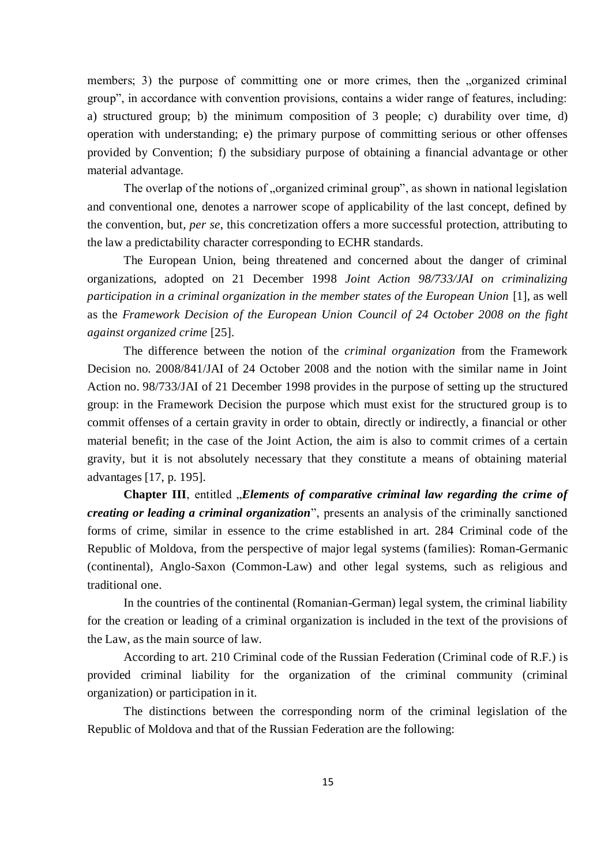members; 3) the purpose of committing one or more crimes, then the "organized criminal group", in accordance with convention provisions, contains a wider range of features, including: a) structured group; b) the minimum composition of 3 people; c) durability over time, d) operation with understanding; e) the primary purpose of committing serious or other offenses provided by Convention; f) the subsidiary purpose of obtaining a financial advantage or other material advantage.

The overlap of the notions of "organized criminal group", as shown in national legislation and conventional one, denotes a narrower scope of applicability of the last concept, defined by the convention, but, *per se*, this concretization offers a more successful protection, attributing to the law a predictability character corresponding to ECHR standards.

The European Union, being threatened and concerned about the danger of criminal organizations, adopted on 21 December 1998 *Joint Action 98/733/JAI on criminalizing participation in a criminal organization in the member states of the European Union* [1], as well as the *Framework Decision of the European Union Council of 24 October 2008 on the fight against organized crime* [25].

The difference between the notion of the *criminal organization* from the Framework Decision no. 2008/841/JAI of 24 October 2008 and the notion with the similar name in Joint Action no. 98/733/JAI of 21 December 1998 provides in the purpose of setting up the structured group: in the Framework Decision the purpose which must exist for the structured group is to commit offenses of a certain gravity in order to obtain, directly or indirectly, a financial or other material benefit; in the case of the Joint Action, the aim is also to commit crimes of a certain gravity, but it is not absolutely necessary that they constitute a means of obtaining material advantages [17, p. 195].

**Chapter III**, entitled *"Elements of comparative criminal law regarding the crime of creating or leading a criminal organization*", presents an analysis of the criminally sanctioned forms of crime, similar in essence to the crime established in art. 284 Criminal code of the Republic of Moldova, from the perspective of major legal systems (families): Roman-Germanic (continental), Anglo-Saxon (Common-Law) and other legal systems, such as religious and traditional one.

In the countries of the continental (Romanian-German) legal system, the criminal liability for the creation or leading of a criminal organization is included in the text of the provisions of the Law, as the main source of law.

According to art. 210 Criminal code of the Russian Federation (Criminal code of R.F.) is provided criminal liability for the organization of the criminal community (criminal organization) or participation in it.

The distinctions between the corresponding norm of the criminal legislation of the Republic of Moldova and that of the Russian Federation are the following: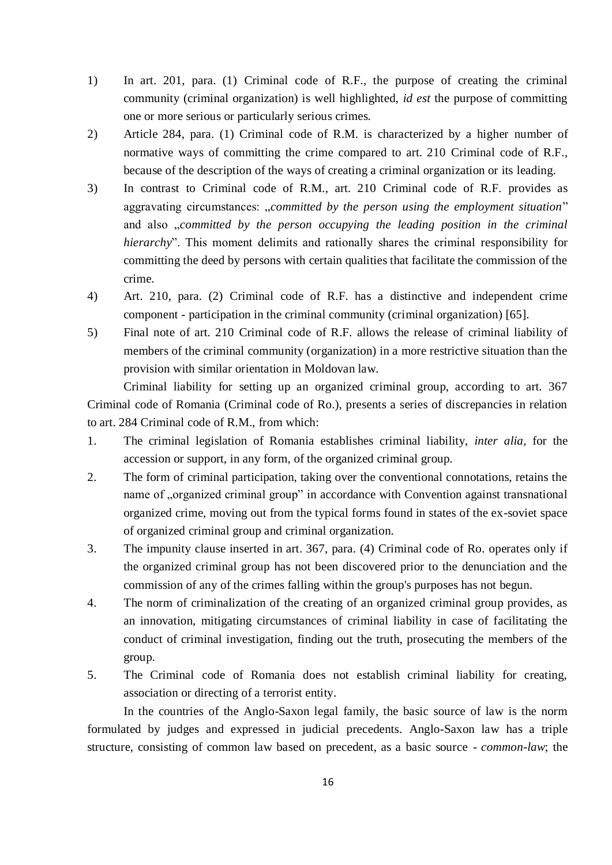- 1) In art. 201, para. (1) Criminal code of R.F., the purpose of creating the criminal community (criminal organization) is well highlighted, *id est* the purpose of committing one or more serious or particularly serious crimes.
- 2) Article 284, para. (1) Criminal code of R.M. is characterized by a higher number of normative ways of committing the crime compared to art. 210 Criminal code of R.F., because of the description of the ways of creating a criminal organization or its leading.
- 3) In contrast to Criminal code of R.M., art. 210 Criminal code of R.F. provides as aggravating circumstances: "*committed by the person using the employment situation*" and also "*committed by the person occupying the leading position in the criminal hierarchy*". This moment delimits and rationally shares the criminal responsibility for committing the deed by persons with certain qualities that facilitate the commission of the crime.
- 4) Art. 210, para. (2) Criminal code of R.F. has a distinctive and independent crime component - participation in the criminal community (criminal organization) [65].
- 5) Final note of art. 210 Criminal code of R.F. allows the release of criminal liability of members of the criminal community (organization) in a more restrictive situation than the provision with similar orientation in Moldovan law.

Criminal liability for setting up an organized criminal group, according to art. 367 Criminal code of Romania (Criminal code of Ro.), presents a series of discrepancies in relation to art. 284 Criminal code of R.M., from which:

- 1. The criminal legislation of Romania establishes criminal liability, *inter alia*, for the accession or support, in any form, of the organized criminal group.
- 2. The form of criminal participation, taking over the conventional connotations, retains the name of "organized criminal group" in accordance with Convention against transnational organized crime, moving out from the typical forms found in states of the ex-soviet space of organized criminal group and criminal organization.
- 3. The impunity clause inserted in art. 367, para. (4) Criminal code of Ro. operates only if the organized criminal group has not been discovered prior to the denunciation and the commission of any of the crimes falling within the group's purposes has not begun.
- 4. The norm of criminalization of the creating of an organized criminal group provides, as an innovation, mitigating circumstances of criminal liability in case of facilitating the conduct of criminal investigation, finding out the truth, prosecuting the members of the group.
- 5. The Criminal code of Romania does not establish criminal liability for creating, association or directing of a terrorist entity.

In the countries of the Anglo-Saxon legal family, the basic source of law is the norm formulated by judges and expressed in judicial precedents. Anglo-Saxon law has a triple structure, consisting of common law based on precedent, as a basic source - *common-law*; the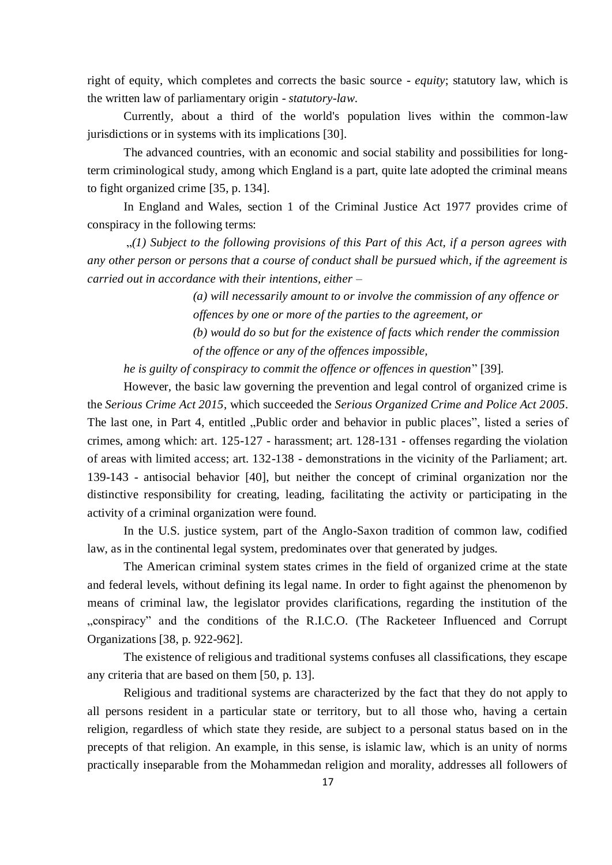right of equity, which completes and corrects the basic source - *equity*; statutory law, which is the written law of parliamentary origin - *statutory-law*.

Currently, about a third of the world's population lives within the common-law jurisdictions or in systems with its implications [30].

The advanced countries, with an economic and social stability and possibilities for longterm criminological study, among which England is a part, quite late adopted the criminal means to fight organized crime [35, p. 134].

In England and Wales, section 1 of the Criminal Justice Act 1977 provides crime of conspiracy in the following terms:

"*(1) Subject to the following provisions of this Part of this Act, if a person agrees with any other person or persons that a course of conduct shall be pursued which, if the agreement is carried out in accordance with their intentions, either –*

> *(a) will necessarily amount to or involve the commission of any offence or offences by one or more of the parties to the agreement, or (b) would do so but for the existence of facts which render the commission of the offence or any of the offences impossible,*

*he is guilty of conspiracy to commit the offence or offences in question*" [39].

However, the basic law governing the prevention and legal control of organized crime is the *Serious Crime Act 2015*, which succeeded the *Serious Organized Crime and Police Act 2005*. The last one, in Part 4, entitled "Public order and behavior in public places", listed a series of crimes, among which: art. 125-127 - harassment; art. 128-131 - offenses regarding the violation of areas with limited access; art. 132-138 - demonstrations in the vicinity of the Parliament; art. 139-143 - antisocial behavior [40], but neither the concept of criminal organization nor the distinctive responsibility for creating, leading, facilitating the activity or participating in the activity of a criminal organization were found.

In the U.S. justice system, part of the Anglo-Saxon tradition of common law, codified law, as in the continental legal system, predominates over that generated by judges.

The American criminal system states crimes in the field of organized crime at the state and federal levels, without defining its legal name. In order to fight against the phenomenon by means of criminal law, the legislator provides clarifications, regarding the institution of the "conspiracy" and the conditions of the R.I.C.O. (The Racketeer Influenced and Corrupt Organizations [38, p. 922-962].

The existence of religious and traditional systems confuses all classifications, they escape any criteria that are based on them [50, p. 13].

Religious and traditional systems are characterized by the fact that they do not apply to all persons resident in a particular state or territory, but to all those who, having a certain religion, regardless of which state they reside, are subject to a personal status based on in the precepts of that religion. An example, in this sense, is islamic law, which is an unity of norms practically inseparable from the Mohammedan religion and morality, addresses all followers of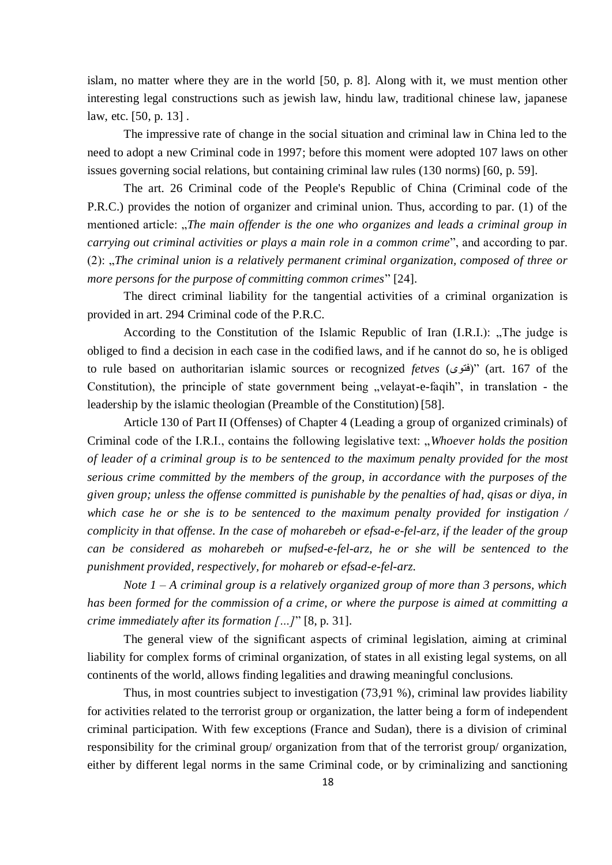islam, no matter where they are in the world [50, p. 8]. Along with it, we must mention other interesting legal constructions such as jewish law, hindu law, traditional chinese law, japanese law, etc. [50, p. 13] .

The impressive rate of change in the social situation and criminal law in China led to the need to adopt a new Criminal code in 1997; before this moment were adopted 107 laws on other issues governing social relations, but containing criminal law rules (130 norms) [60, p. 59].

The art. 26 Criminal code of the People's Republic of China (Criminal code of the P.R.C.) provides the notion of organizer and criminal union. Thus, according to par. (1) of the mentioned article: "*The main offender is the one who organizes and leads a criminal group in carrying out criminal activities or plays a main role in a common crime*", and according to par. (2): "*The criminal union is a relatively permanent criminal organization, composed of three or more persons for the purpose of committing common crimes*" [24].

The direct criminal liability for the tangential activities of a criminal organization is provided in art. 294 Criminal code of the P.R.C.

According to the Constitution of the Islamic Republic of Iran  $(I.R.I.)$ : "The judge is obliged to find a decision in each case in the codified laws, and if he cannot do so, he is obliged to rule based on authoritarian islamic sources or recognized *fetves* (فتوى) "(art. 167 of the Constitution), the principle of state government being "velayat-e-faqih", in translation - the leadership by the islamic theologian (Preamble of the Constitution) [58].

Article 130 of Part II (Offenses) of Chapter 4 (Leading a group of organized criminals) of Criminal code of the I.R.I., contains the following legislative text: "Whoever holds the position *of leader of a criminal group is to be sentenced to the maximum penalty provided for the most serious crime committed by the members of the group, in accordance with the purposes of the given group; unless the offense committed is punishable by the penalties of had, qisas or diya, in which case he or she is to be sentenced to the maximum penalty provided for instigation / complicity in that offense. In the case of moharebeh or efsad-e-fel-arz, if the leader of the group can be considered as moharebeh or mufsed-e-fel-arz, he or she will be sentenced to the punishment provided, respectively, for mohareb or efsad-e-fel-arz.*

*Note 1 – A criminal group is a relatively organized group of more than 3 persons, which has been formed for the commission of a crime, or where the purpose is aimed at committing a crime immediately after its formation […]*" [8, p. 31].

The general view of the significant aspects of criminal legislation, aiming at criminal liability for complex forms of criminal organization, of states in all existing legal systems, on all continents of the world, allows finding legalities and drawing meaningful conclusions.

Thus, in most countries subject to investigation (73,91 %), criminal law provides liability for activities related to the terrorist group or organization, the latter being a form of independent criminal participation. With few exceptions (France and Sudan), there is a division of criminal responsibility for the criminal group/ organization from that of the terrorist group/ organization, either by different legal norms in the same Criminal code, or by criminalizing and sanctioning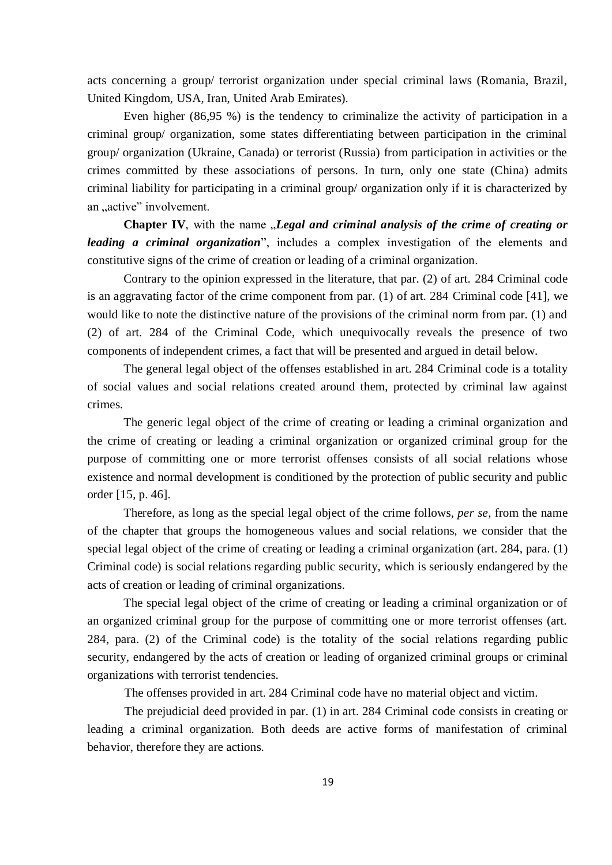acts concerning a group/ terrorist organization under special criminal laws (Romania, Brazil, United Kingdom, USA, Iran, United Arab Emirates).

Even higher (86,95 %) is the tendency to criminalize the activity of participation in a criminal group/ organization, some states differentiating between participation in the criminal group/ organization (Ukraine, Canada) or terrorist (Russia) from participation in activities or the crimes committed by these associations of persons. In turn, only one state (China) admits criminal liability for participating in a criminal group/ organization only if it is characterized by an "active" involvement.

**Chapter IV**, with the name *"Legal and criminal analysis of the crime of creating or leading a criminal organization*", includes a complex investigation of the elements and constitutive signs of the crime of creation or leading of a criminal organization.

Contrary to the opinion expressed in the literature, that par. (2) of art. 284 Criminal code is an aggravating factor of the crime component from par. (1) of art. 284 Criminal code [41], we would like to note the distinctive nature of the provisions of the criminal norm from par. (1) and (2) of art. 284 of the Criminal Code, which unequivocally reveals the presence of two components of independent crimes, a fact that will be presented and argued in detail below.

The general legal object of the offenses established in art. 284 Criminal code is a totality of social values and social relations created around them, protected by criminal law against crimes.

The generic legal object of the crime of creating or leading a criminal organization and the crime of creating or leading a criminal organization or organized criminal group for the purpose of committing one or more terrorist offenses consists of all social relations whose existence and normal development is conditioned by the protection of public security and public order [15, p. 46].

Therefore, as long as the special legal object of the crime follows, *per se*, from the name of the chapter that groups the homogeneous values and social relations, we consider that the special legal object of the crime of creating or leading a criminal organization (art. 284, para. (1) Criminal code) is social relations regarding public security, which is seriously endangered by the acts of creation or leading of criminal organizations.

The special legal object of the crime of creating or leading a criminal organization or of an organized criminal group for the purpose of committing one or more terrorist offenses (art. 284, para. (2) of the Criminal code) is the totality of the social relations regarding public security, endangered by the acts of creation or leading of organized criminal groups or criminal organizations with terrorist tendencies.

The offenses provided in art. 284 Criminal code have no material object and victim.

The prejudicial deed provided in par. (1) in art. 284 Criminal code consists in creating or leading a criminal organization. Both deeds are active forms of manifestation of criminal behavior, therefore they are actions.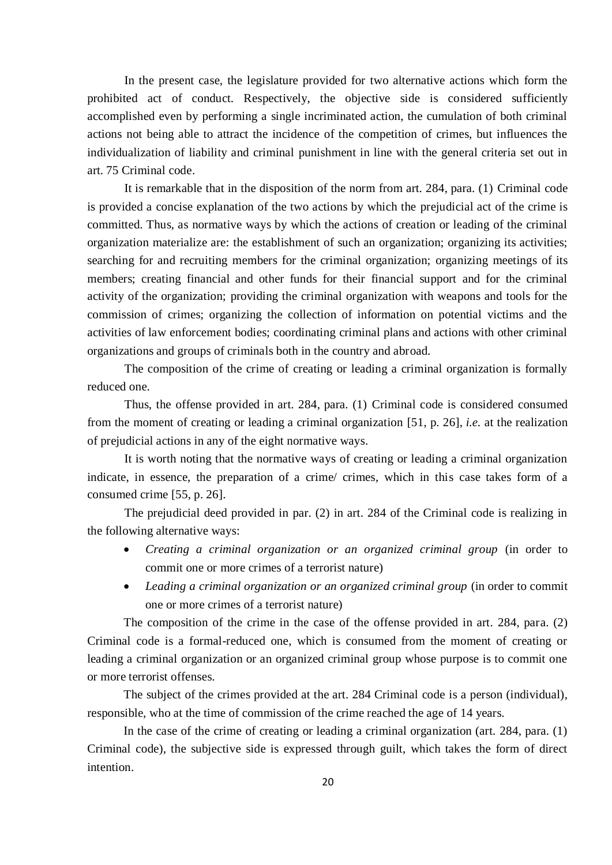In the present case, the legislature provided for two alternative actions which form the prohibited act of conduct. Respectively, the objective side is considered sufficiently accomplished even by performing a single incriminated action, the cumulation of both criminal actions not being able to attract the incidence of the competition of crimes, but influences the individualization of liability and criminal punishment in line with the general criteria set out in art. 75 Criminal code.

It is remarkable that in the disposition of the norm from art. 284, para. (1) Criminal code is provided a concise explanation of the two actions by which the prejudicial act of the crime is committed. Thus, as normative ways by which the actions of creation or leading of the criminal organization materialize are: the establishment of such an organization; organizing its activities; searching for and recruiting members for the criminal organization; organizing meetings of its members; creating financial and other funds for their financial support and for the criminal activity of the organization; providing the criminal organization with weapons and tools for the commission of crimes; organizing the collection of information on potential victims and the activities of law enforcement bodies; coordinating criminal plans and actions with other criminal organizations and groups of criminals both in the country and abroad.

The composition of the crime of creating or leading a criminal organization is formally reduced one.

Thus, the offense provided in art. 284, para. (1) Criminal code is considered consumed from the moment of creating or leading a criminal organization [51, p. 26], *i.e.* at the realization of prejudicial actions in any of the eight normative ways.

It is worth noting that the normative ways of creating or leading a criminal organization indicate, in essence, the preparation of a crime/ crimes, which in this case takes form of a consumed crime [55, p. 26].

The prejudicial deed provided in par. (2) in art. 284 of the Criminal code is realizing in the following alternative ways:

- *Creating a criminal organization or an organized criminal group* (in order to commit one or more crimes of a terrorist nature)
- *Leading a criminal organization or an organized criminal group* (in order to commit one or more crimes of a terrorist nature)

The composition of the crime in the case of the offense provided in art. 284, para. (2) Criminal code is a formal-reduced one, which is consumed from the moment of creating or leading a criminal organization or an organized criminal group whose purpose is to commit one or more terrorist offenses.

The subject of the crimes provided at the art. 284 Criminal code is a person (individual), responsible, who at the time of commission of the crime reached the age of 14 years.

In the case of the crime of creating or leading a criminal organization (art. 284, para. (1) Criminal code), the subjective side is expressed through guilt, which takes the form of direct intention.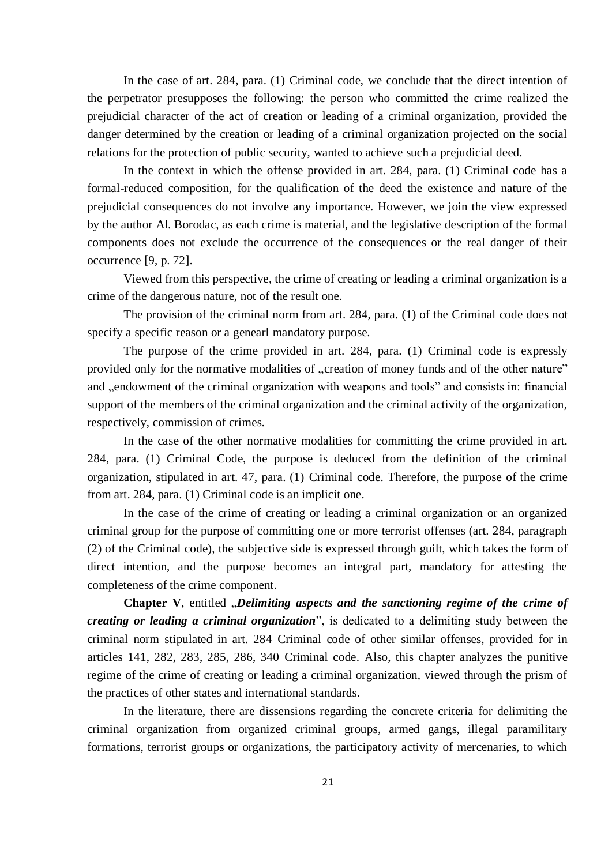In the case of art. 284, para. (1) Criminal code, we conclude that the direct intention of the perpetrator presupposes the following: the person who committed the crime realized the prejudicial character of the act of creation or leading of a criminal organization, provided the danger determined by the creation or leading of a criminal organization projected on the social relations for the protection of public security, wanted to achieve such a prejudicial deed.

In the context in which the offense provided in art. 284, para. (1) Criminal code has a formal-reduced composition, for the qualification of the deed the existence and nature of the prejudicial consequences do not involve any importance. However, we join the view expressed by the author Al. Borodac, as each crime is material, and the legislative description of the formal components does not exclude the occurrence of the consequences or the real danger of their occurrence [9, p. 72].

Viewed from this perspective, the crime of creating or leading a criminal organization is a crime of the dangerous nature, not of the result one.

The provision of the criminal norm from art. 284, para. (1) of the Criminal code does not specify a specific reason or a genearl mandatory purpose.

The purpose of the crime provided in art. 284, para. (1) Criminal code is expressly provided only for the normative modalities of "creation of money funds and of the other nature" and , endowment of the criminal organization with weapons and tools" and consists in: financial support of the members of the criminal organization and the criminal activity of the organization, respectively, commission of crimes.

In the case of the other normative modalities for committing the crime provided in art. 284, para. (1) Criminal Code, the purpose is deduced from the definition of the criminal organization, stipulated in art. 47, para. (1) Criminal code. Therefore, the purpose of the crime from art. 284, para. (1) Criminal code is an implicit one.

In the case of the crime of creating or leading a criminal organization or an organized criminal group for the purpose of committing one or more terrorist offenses (art. 284, paragraph (2) of the Criminal code), the subjective side is expressed through guilt, which takes the form of direct intention, and the purpose becomes an integral part, mandatory for attesting the completeness of the crime component.

**Chapter V**, entitled "*Delimiting aspects and the sanctioning regime of the crime of creating or leading a criminal organization*", is dedicated to a delimiting study between the criminal norm stipulated in art. 284 Criminal code of other similar offenses, provided for in articles 141, 282, 283, 285, 286, 340 Criminal code. Also, this chapter analyzes the punitive regime of the crime of creating or leading a criminal organization, viewed through the prism of the practices of other states and international standards.

In the literature, there are dissensions regarding the concrete criteria for delimiting the criminal organization from organized criminal groups, armed gangs, illegal paramilitary formations, terrorist groups or organizations, the participatory activity of mercenaries, to which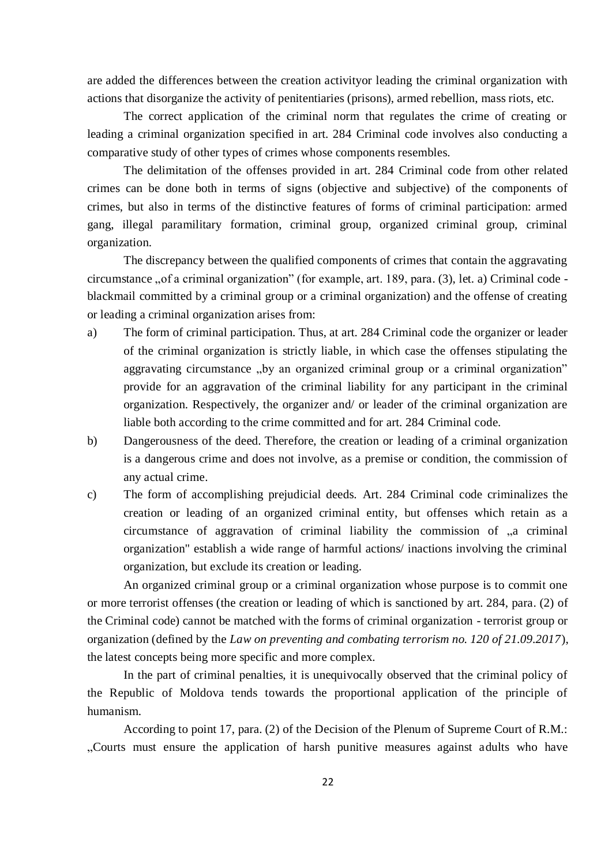are added the differences between the creation activityor leading the criminal organization with actions that disorganize the activity of penitentiaries (prisons), armed rebellion, mass riots, etc.

The correct application of the criminal norm that regulates the crime of creating or leading a criminal organization specified in art. 284 Criminal code involves also conducting a comparative study of other types of crimes whose components resembles.

The delimitation of the offenses provided in art. 284 Criminal code from other related crimes can be done both in terms of signs (objective and subjective) of the components of crimes, but also in terms of the distinctive features of forms of criminal participation: armed gang, illegal paramilitary formation, criminal group, organized criminal group, criminal organization.

The discrepancy between the qualified components of crimes that contain the aggravating circumstance "of a criminal organization" (for example, art. 189, para. (3), let. a) Criminal code blackmail committed by a criminal group or a criminal organization) and the offense of creating or leading a criminal organization arises from:

- a) The form of criminal participation. Thus, at art. 284 Criminal code the organizer or leader of the criminal organization is strictly liable, in which case the offenses stipulating the aggravating circumstance "by an organized criminal group or a criminal organization" provide for an aggravation of the criminal liability for any participant in the criminal organization. Respectively, the organizer and/ or leader of the criminal organization are liable both according to the crime committed and for art. 284 Criminal code.
- b) Dangerousness of the deed. Therefore, the creation or leading of a criminal organization is a dangerous crime and does not involve, as a premise or condition, the commission of any actual crime.
- c) The form of accomplishing prejudicial deeds. Art. 284 Criminal code criminalizes the creation or leading of an organized criminal entity, but offenses which retain as a circumstance of aggravation of criminal liability the commission of "a criminal organization" establish a wide range of harmful actions/ inactions involving the criminal organization, but exclude its creation or leading.

An organized criminal group or a criminal organization whose purpose is to commit one or more terrorist offenses (the creation or leading of which is sanctioned by art. 284, para. (2) of the Criminal code) cannot be matched with the forms of criminal organization - terrorist group or organization (defined by the *Law on preventing and combating terrorism no. 120 of 21.09.2017*), the latest concepts being more specific and more complex.

In the part of criminal penalties, it is unequivocally observed that the criminal policy of the Republic of Moldova tends towards the proportional application of the principle of humanism.

According to point 17, para. (2) of the Decision of the Plenum of Supreme Court of R.M.: "Courts must ensure the application of harsh punitive measures against adults who have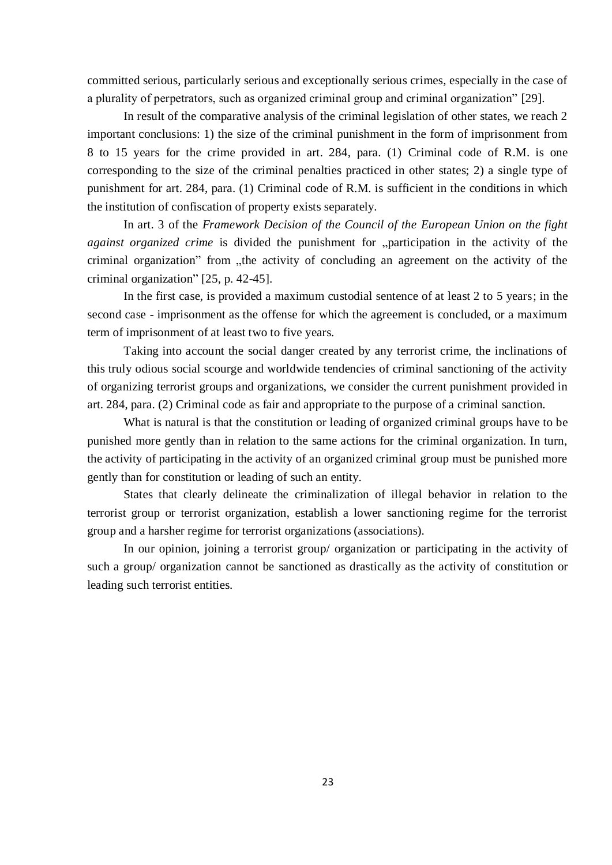committed serious, particularly serious and exceptionally serious crimes, especially in the case of a plurality of perpetrators, such as organized criminal group and criminal organization" [29].

In result of the comparative analysis of the criminal legislation of other states, we reach 2 important conclusions: 1) the size of the criminal punishment in the form of imprisonment from 8 to 15 years for the crime provided in art. 284, para. (1) Criminal code of R.M. is one corresponding to the size of the criminal penalties practiced in other states; 2) a single type of punishment for art. 284, para. (1) Criminal code of R.M. is sufficient in the conditions in which the institution of confiscation of property exists separately.

In art. 3 of the *Framework Decision of the Council of the European Union on the fight against organized crime* is divided the punishment for "participation in the activity of the criminal organization" from "the activity of concluding an agreement on the activity of the criminal organization" [25, p. 42-45].

In the first case, is provided a maximum custodial sentence of at least 2 to 5 years; in the second case - imprisonment as the offense for which the agreement is concluded, or a maximum term of imprisonment of at least two to five years.

Taking into account the social danger created by any terrorist crime, the inclinations of this truly odious social scourge and worldwide tendencies of criminal sanctioning of the activity of organizing terrorist groups and organizations, we consider the current punishment provided in art. 284, para. (2) Criminal code as fair and appropriate to the purpose of a criminal sanction.

What is natural is that the constitution or leading of organized criminal groups have to be punished more gently than in relation to the same actions for the criminal organization. In turn, the activity of participating in the activity of an organized criminal group must be punished more gently than for constitution or leading of such an entity.

States that clearly delineate the criminalization of illegal behavior in relation to the terrorist group or terrorist organization, establish a lower sanctioning regime for the terrorist group and a harsher regime for terrorist organizations (associations).

In our opinion, joining a terrorist group/ organization or participating in the activity of such a group/ organization cannot be sanctioned as drastically as the activity of constitution or leading such terrorist entities.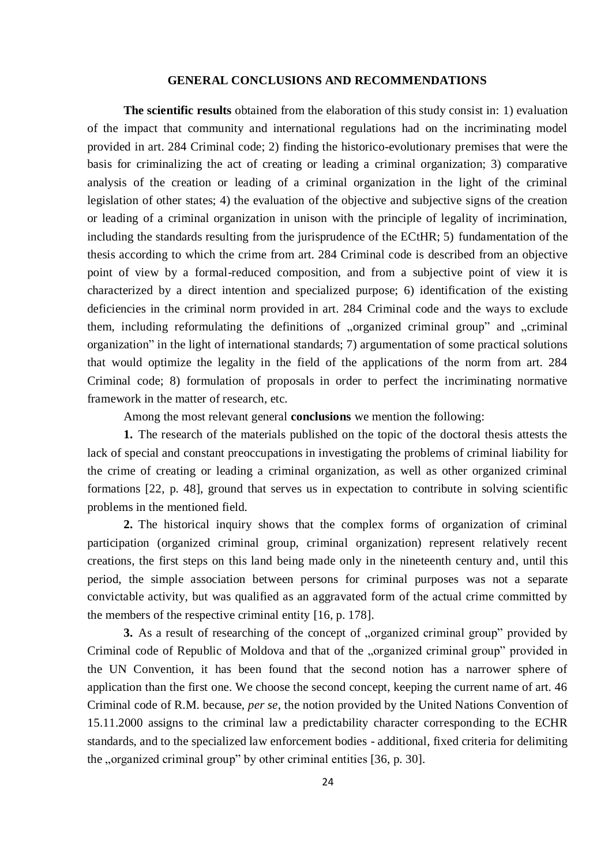#### **GENERAL CONCLUSIONS AND RECOMMENDATIONS**

**The scientific results** obtained from the elaboration of this study consist in: 1) evaluation of the impact that community and international regulations had on the incriminating model provided in art. 284 Criminal code; 2) finding the historico-evolutionary premises that were the basis for criminalizing the act of creating or leading a criminal organization; 3) comparative analysis of the creation or leading of a criminal organization in the light of the criminal legislation of other states; 4) the evaluation of the objective and subjective signs of the creation or leading of a criminal organization in unison with the principle of legality of incrimination, including the standards resulting from the jurisprudence of the ECtHR; 5) fundamentation of the thesis according to which the crime from art. 284 Criminal code is described from an objective point of view by a formal-reduced composition, and from a subjective point of view it is characterized by a direct intention and specialized purpose; 6) identification of the existing deficiencies in the criminal norm provided in art. 284 Criminal code and the ways to exclude them, including reformulating the definitions of "organized criminal group" and "criminal organization" in the light of international standards; 7) argumentation of some practical solutions that would optimize the legality in the field of the applications of the norm from art. 284 Criminal code; 8) formulation of proposals in order to perfect the incriminating normative framework in the matter of research, etc.

Among the most relevant general **conclusions** we mention the following:

**1.** The research of the materials published on the topic of the doctoral thesis attests the lack of special and constant preoccupations in investigating the problems of criminal liability for the crime of creating or leading a criminal organization, as well as other organized criminal formations [22, p. 48], ground that serves us in expectation to contribute in solving scientific problems in the mentioned field.

**2.** The historical inquiry shows that the complex forms of organization of criminal participation (organized criminal group, criminal organization) represent relatively recent creations, the first steps on this land being made only in the nineteenth century and, until this period, the simple association between persons for criminal purposes was not a separate convictable activity, but was qualified as an aggravated form of the actual crime committed by the members of the respective criminal entity [16, p. 178].

**3.** As a result of researching of the concept of "organized criminal group" provided by Criminal code of Republic of Moldova and that of the "organized criminal group" provided in the UN Convention, it has been found that the second notion has a narrower sphere of application than the first one. We choose the second concept, keeping the current name of art. 46 Criminal code of R.M. because, *per se*, the notion provided by the United Nations Convention of 15.11.2000 assigns to the criminal law a predictability character corresponding to the ECHR standards, and to the specialized law enforcement bodies - additional, fixed criteria for delimiting the "organized criminal group" by other criminal entities [36, p. 30].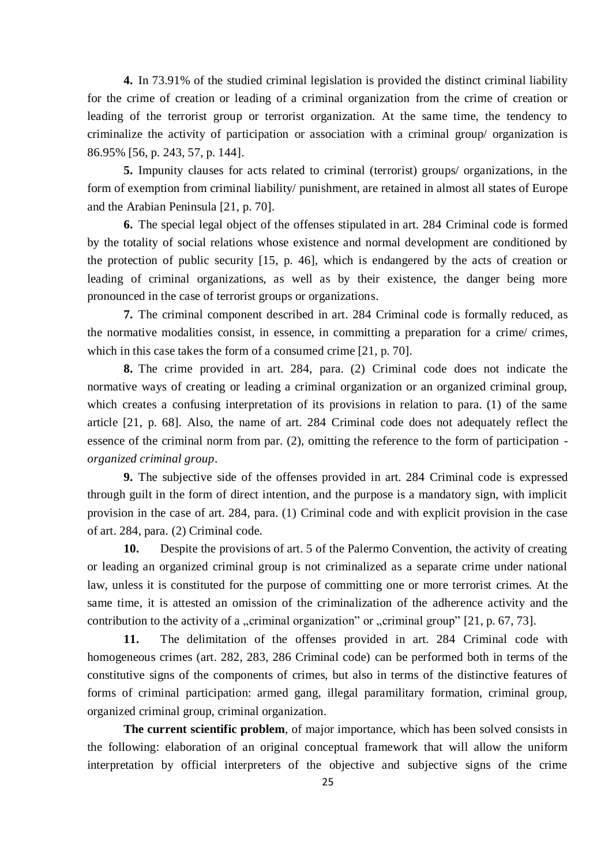**4.** In 73.91% of the studied criminal legislation is provided the distinct criminal liability for the crime of creation or leading of a criminal organization from the crime of creation or leading of the terrorist group or terrorist organization. At the same time, the tendency to criminalize the activity of participation or association with a criminal group/ organization is 86.95% [56, p. 243, 57, p. 144].

**5.** Impunity clauses for acts related to criminal (terrorist) groups/ organizations, in the form of exemption from criminal liability/ punishment, are retained in almost all states of Europe and the Arabian Peninsula [21, p. 70].

**6.** The special legal object of the offenses stipulated in art. 284 Criminal code is formed by the totality of social relations whose existence and normal development are conditioned by the protection of public security [15, p. 46], which is endangered by the acts of creation or leading of criminal organizations, as well as by their existence, the danger being more pronounced in the case of terrorist groups or organizations.

**7.** The criminal component described in art. 284 Criminal code is formally reduced, as the normative modalities consist, in essence, in committing a preparation for a crime/ crimes, which in this case takes the form of a consumed crime [21, p. 70].

**8.** The crime provided in art. 284, para. (2) Criminal code does not indicate the normative ways of creating or leading a criminal organization or an organized criminal group, which creates a confusing interpretation of its provisions in relation to para. (1) of the same article [21, p. 68]. Also, the name of art. 284 Criminal code does not adequately reflect the essence of the criminal norm from par. (2), omitting the reference to the form of participation *organized criminal group*.

**9.** The subjective side of the offenses provided in art. 284 Criminal code is expressed through guilt in the form of direct intention, and the purpose is a mandatory sign, with implicit provision in the case of art. 284, para. (1) Criminal code and with explicit provision in the case of art. 284, para. (2) Criminal code.

**10.** Despite the provisions of art. 5 of the Palermo Convention, the activity of creating or leading an organized criminal group is not criminalized as a separate crime under national law, unless it is constituted for the purpose of committing one or more terrorist crimes. At the same time, it is attested an omission of the criminalization of the adherence activity and the contribution to the activity of a "criminal organization" or "criminal group"  $[21, p. 67, 73]$ .

**11.** The delimitation of the offenses provided in art. 284 Criminal code with homogeneous crimes (art. 282, 283, 286 Criminal code) can be performed both in terms of the constitutive signs of the components of crimes, but also in terms of the distinctive features of forms of criminal participation: armed gang, illegal paramilitary formation, criminal group, organized criminal group, criminal organization.

**The current scientific problem**, of major importance, which has been solved consists in the following: elaboration of an original conceptual framework that will allow the uniform interpretation by official interpreters of the objective and subjective signs of the crime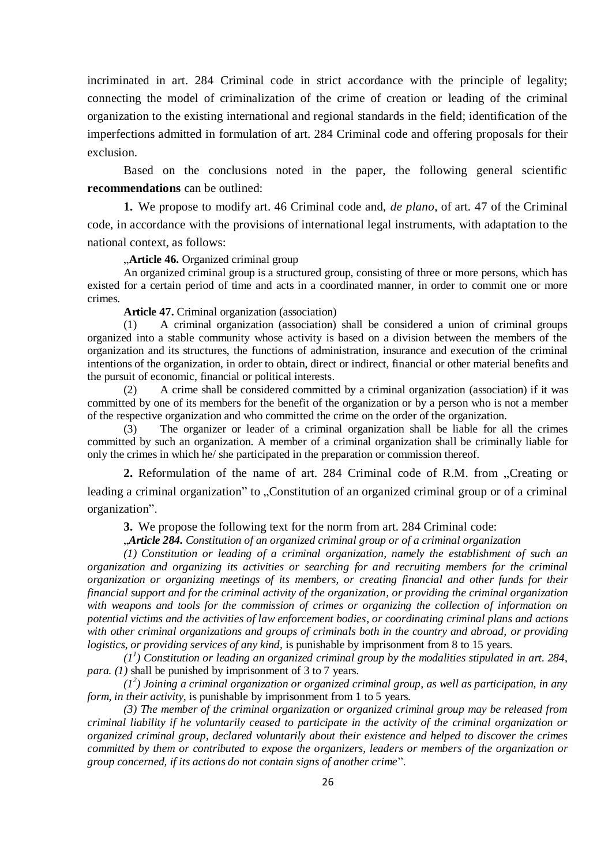incriminated in art. 284 Criminal code in strict accordance with the principle of legality; connecting the model of criminalization of the crime of creation or leading of the criminal organization to the existing international and regional standards in the field; identification of the imperfections admitted in formulation of art. 284 Criminal code and offering proposals for their exclusion.

Based on the conclusions noted in the paper, the following general scientific **recommendations** can be outlined:

**1.** We propose to modify art. 46 Criminal code and, *de plano*, of art. 47 of the Criminal code, in accordance with the provisions of international legal instruments, with adaptation to the national context, as follows:

**Article 46.** Organized criminal group

An organized criminal group is a structured group, consisting of three or more persons, which has existed for a certain period of time and acts in a coordinated manner, in order to commit one or more crimes.

**Article 47.** Criminal organization (association)

(1) A criminal organization (association) shall be considered a union of criminal groups organized into a stable community whose activity is based on a division between the members of the organization and its structures, the functions of administration, insurance and execution of the criminal intentions of the organization, in order to obtain, direct or indirect, financial or other material benefits and the pursuit of economic, financial or political interests.

(2) A crime shall be considered committed by a criminal organization (association) if it was committed by one of its members for the benefit of the organization or by a person who is not a member of the respective organization and who committed the crime on the order of the organization.

(3) The organizer or leader of a criminal organization shall be liable for all the crimes committed by such an organization. A member of a criminal organization shall be criminally liable for only the crimes in which he/ she participated in the preparation or commission thereof.

**2.** Reformulation of the name of art. 284 Criminal code of R.M. from "Creating or leading a criminal organization" to "Constitution of an organized criminal group or of a criminal organization".

**3.** We propose the following text for the norm from art. 284 Criminal code:

"*Article 284. Constitution of an organized criminal group or of a criminal organization*

*(1) Constitution or leading of a criminal organization, namely the establishment of such an organization and organizing its activities or searching for and recruiting members for the criminal organization or organizing meetings of its members, or creating financial and other funds for their financial support and for the criminal activity of the organization, or providing the criminal organization with weapons and tools for the commission of crimes or organizing the collection of information on potential victims and the activities of law enforcement bodies, or coordinating criminal plans and actions with other criminal organizations and groups of criminals both in the country and abroad, or providing logistics, or providing services of any kind,* is punishable by imprisonment from 8 to 15 years.

 $(1^1)$  Constitution or leading an organized criminal group by the modalities stipulated in art. 284, *para. (1)* shall be punished by imprisonment of 3 to 7 years.

*(1<sup>2</sup> ) Joining a criminal organization or organized criminal group, as well as participation, in any form, in their activity, is punishable by imprisonment from 1 to 5 years.* 

*(3) The member of the criminal organization or organized criminal group may be released from criminal liability if he voluntarily ceased to participate in the activity of the criminal organization or organized criminal group, declared voluntarily about their existence and helped to discover the crimes committed by them or contributed to expose the organizers, leaders or members of the organization or group concerned, if its actions do not contain signs of another crime*".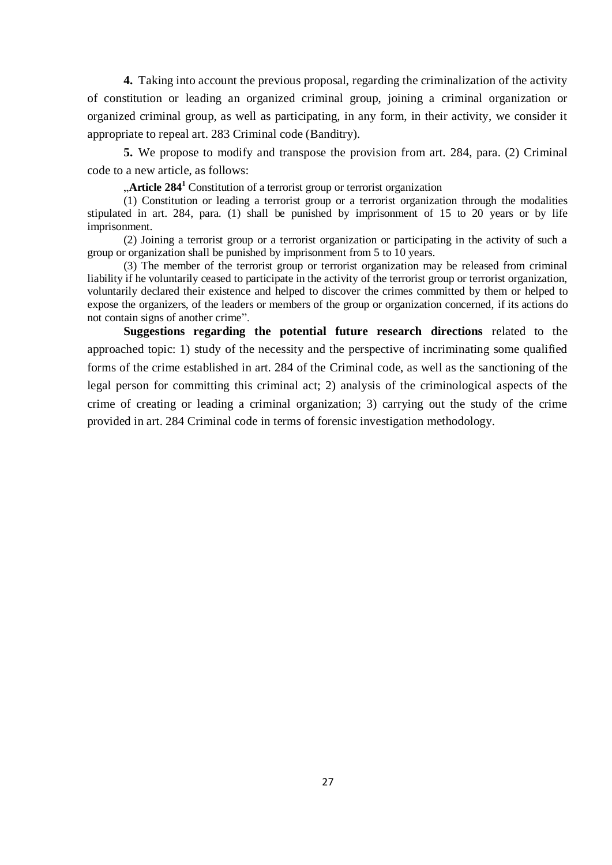**4.** Taking into account the previous proposal, regarding the criminalization of the activity of constitution or leading an organized criminal group, joining a criminal organization or organized criminal group, as well as participating, in any form, in their activity, we consider it appropriate to repeal art. 283 Criminal code (Banditry).

**5.** We propose to modify and transpose the provision from art. 284, para. (2) Criminal code to a new article, as follows:

**Article 284<sup>1</sup>** Constitution of a terrorist group or terrorist organization

(1) Constitution or leading a terrorist group or a terrorist organization through the modalities stipulated in art. 284, para. (1) shall be punished by imprisonment of 15 to 20 years or by life imprisonment.

(2) Joining a terrorist group or a terrorist organization or participating in the activity of such a group or organization shall be punished by imprisonment from 5 to 10 years.

(3) The member of the terrorist group or terrorist organization may be released from criminal liability if he voluntarily ceased to participate in the activity of the terrorist group or terrorist organization, voluntarily declared their existence and helped to discover the crimes committed by them or helped to expose the organizers, of the leaders or members of the group or organization concerned, if its actions do not contain signs of another crime".

**Suggestions regarding the potential future research directions** related to the approached topic: 1) study of the necessity and the perspective of incriminating some qualified forms of the crime established in art. 284 of the Criminal code, as well as the sanctioning of the legal person for committing this criminal act; 2) analysis of the criminological aspects of the crime of creating or leading a criminal organization; 3) carrying out the study of the crime provided in art. 284 Criminal code in terms of forensic investigation methodology.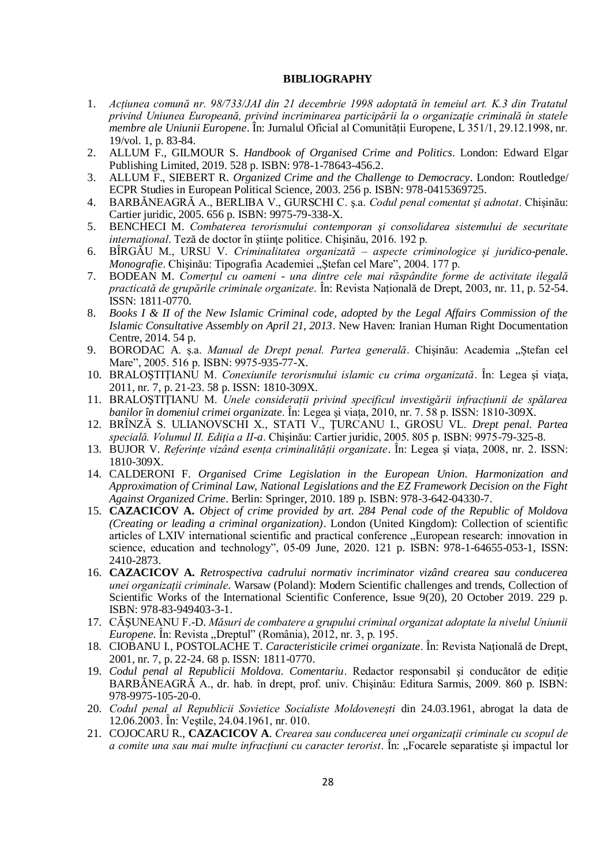#### **BIBLIOGRAPHY**

- 1. *Acțiunea comună nr. 98/733/JAI din 21 decembrie 1998 adoptată în temeiul art. K.3 din Tratatul privind Uniunea Europeană, privind incriminarea participării la o organizaţie criminală în statele membre ale Uniunii Europene*. În: Jurnalul Oficial al Comunității Europene, L 351/1, 29.12.1998, nr. 19/vol. 1, p. 83-84.
- 2. ALLUM F., GILMOUR S. *Handbook of Organised Crime and Politics*. London: Edward Elgar Publishing Limited, 2019. 528 p. ISBN: 978-1-78643-456.2.
- 3. ALLUM F., SIEBERT R. *Organized Crime and the Challenge to Democracy*. London: Routledge/ ECPR Studies in European Political Science, 2003. 256 p. ISBN: 978-0415369725.
- 4. BARBĂNEAGRĂ A., BERLIBA V., GURSCHI C. ş.a. *Codul penal comentat şi adnotat*. Chişinău: Cartier juridic, 2005. 656 p. ISBN: 9975-79-338-X.
- 5. BENCHECI M. *Combaterea terorismului contemporan şi consolidarea sistemului de securitate internațional*. Teză de doctor în ştiinţe politice. Chişinău, 2016. 192 p.
- 6. BÎRGĂU M., URSU V. *Criminalitatea organizată – aspecte criminologice şi juridico-penale. Monografie*. Chișinău: Tipografia Academiei "Ștefan cel Mare", 2004. 177 p.
- 7. BODEAN M. *Comerțul cu oameni - una dintre cele mai răspândite forme de activitate ilegală practicată de grupările criminale organizate*. În: Revista Națională de Drept, 2003, nr. 11, p. 52-54. ISSN: 1811-0770.
- 8. *Books I & II of the New Islamic Criminal code, adopted by the Legal Affairs Commission of the Islamic Consultative Assembly on April 21, 2013*. New Haven: Iranian Human Right Documentation Centre, 2014. 54 p.
- 9. BORODAC A. ș.a. Manual de Drept penal. Partea generală. Chișinău: Academia "Ștefan cel Mare", 2005. 516 p. ISBN: 9975-935-77-X.
- 10. BRALOŞTIŢIANU M. *Conexiunile terorismului islamic cu crima organizată*. În: Legea şi viaţa, 2011, nr. 7, p. 21-23. 58 p. ISSN: 1810-309X.
- 11. BRALOŞTIŢIANU M. *Unele considerații privind specificul investigării infracțiunii de spălarea banilor în domeniul crimei organizate*. În: Legea şi viața, 2010, nr. 7. 58 p. ISSN: 1810-309X.
- 12. BRÎNZĂ S. ULIANOVSCHI X., STATI V., ŢURCANU I., GROSU VL. *Drept penal. Partea specială. Volumul II. Ediţia a II-a*. Chişinău: Cartier juridic, 2005. 805 p. ISBN: 9975-79-325-8.
- 13. BUJOR V. *Referințe vizând esența criminalității organizate*. În: Legea şi viața, 2008, nr. 2. ISSN: 1810-309X.
- 14. CALDERONI F. *Organised Crime Legislation in the European Union. Harmonization and Approximation of Criminal Law, National Legislations and the EZ Framework Decision on the Fight Against Organized Crime*. Berlin: Springer, 2010. 189 p. ISBN: 978-3-642-04330-7.
- 15. **CAZACICOV A.** *Object of crime provided by art. 284 Penal code of the Republic of Moldova (Creating or leading a criminal organization)*. London (United Kingdom): Collection of scientific articles of LXIV international scientific and practical conference "European research: innovation in science, education and technology", 05-09 June, 2020. 121 p. ISBN: 978-1-64655-053-1, ISSN: 2410-2873.
- 16. **CAZACICOV A.** *Retrospectiva cadrului normativ incriminator vizând crearea sau conducerea unei organizații criminale*. Warsaw (Poland): Modern Scientific challenges and trends, Collection of Scientific Works of the International Scientific Conference, Issue 9(20), 20 October 2019. 229 p. ISBN: 978-83-949403-3-1.
- 17. CĂŞUNEANU F.-D. *Măsuri de combatere a grupului criminal organizat adoptate la nivelul Uniunii Europene*. În: Revista "Dreptul" (România), 2012, nr. 3, p. 195.
- 18. CIOBANU I., POSTOLACHE T. *Caracteristicile crimei organizate*. În: Revista Naţională de Drept, 2001, nr. 7, p. 22-24. 68 p. ISSN: 1811-0770.
- 19. *Codul penal al Republicii Moldova. Comentariu*. Redactor responsabil şi conducător de ediţie BARBĂNEAGRĂ A., dr. hab. în drept, prof. univ. Chişinău: Editura Sarmis, 2009. 860 p. ISBN: 978-9975-105-20-0.
- 20. *Codul penal al Republicii Sovietice Socialiste Moldoveneşti* din 24.03.1961, abrogat la data de 12.06.2003. În: Veştile, 24.04.1961, nr. 010.
- 21. COJOCARU R., **CAZACICOV A**. *Crearea sau conducerea unei organizaţii criminale cu scopul de a comite una sau mai multe infracțiuni cu caracter terorist*. In: "Focarele separatiste și impactul lor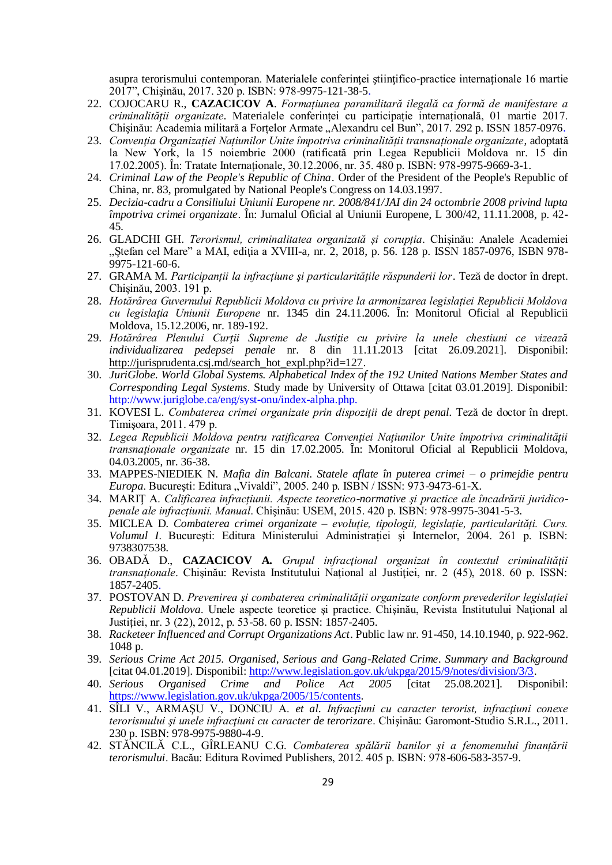asupra terorismului contemporan. Materialele conferinţei ştiinţifico-practice internaţionale 16 martie 2017", Chişinău, 2017. 320 p. ISBN: 978-9975-121-38-5.

- 22. COJOCARU R., **CAZACICOV A**. *Formațiunea paramilitară ilegală ca formă de manifestare a criminalităţii organizate*. Materialele conferinței cu participație internațională, 01 martie 2017. Chișinău: Academia militară a Forțelor Armate "Alexandru cel Bun", 2017. 292 p. ISSN 1857-0976.
- 23. *Convenţia Organizației Națiunilor Unite împotriva criminalității transnaționale organizate*, adoptată la New York, la 15 noiembrie 2000 (ratificată prin Legea Republicii Moldova nr. 15 din 17.02.2005). În: Tratate Internaționale, 30.12.2006, nr. 35. 480 p. ISBN: 978-9975-9669-3-1.
- 24. *Criminal Law of the People's Republic of China*. Order of the President of the People's Republic of China, nr. 83, promulgated by National People's Congress on 14.03.1997.
- 25. *Decizia-cadru a Consiliului Uniunii Europene nr. 2008/841/JAI din 24 octombrie 2008 privind lupta împotriva crimei organizate*. În: Jurnalul Oficial al Uniunii Europene, L 300/42, 11.11.2008, p. 42- 45.
- 26. GLADCHI GH. *Terorismul, criminalitatea organizată și corupția*. Chișinău: Analele Academiei "Ștefan cel Mare" a MAI, ediția a XVIII-a, nr. 2, 2018, p. 56. 128 p. ISSN 1857-0976, ISBN 978-9975-121-60-6.
- 27. GRAMA M. *Participanții la infracțiune şi particularitățile răspunderii lor*. Teză de doctor în drept. Chișinău, 2003. 191 p.
- 28. *Hotărȃrea Guvernului Republicii Moldova cu privire la armonizarea legislației Republicii Moldova cu legislaţia Uniunii Europene* nr. 1345 din 24.11.2006. În: Monitorul Oficial al Republicii Moldova, 15.12.2006, nr. 189-192.
- 29. *Hotărârea Plenului Curţii Supreme de Justiţie cu privire la unele chestiuni ce vizează individualizarea pedepsei penale* nr. 8 din 11.11.2013 [citat 26.09.2021]. Disponibil: [http://jurisprudenta.csj.md/search\\_hot\\_expl.php?id=127.](http://jurisprudenta.csj.md/search_hot_expl.php?id=127)
- 30. *JuriGlobe. World Global Systems. Alphabetical Index of the 192 United Nations Member States and Corresponding Legal Systems*. Study made by University of Ottawa [citat 03.01.2019]. Disponibil: [http://www.juriglobe.ca/eng/syst-onu/index-alpha.php.](http://www.juriglobe.ca/eng/syst-onu/index-alpha.php)
- 31. KOVESI L. *Combaterea crimei organizate prin dispoziţii de drept penal.* Teză de doctor în drept. Timişoara, 2011. 479 p.
- 32. *Legea Republicii Moldova pentru ratificarea Convenţiei Naţiunilor Unite împotriva criminalităţii transnaţionale organizate* nr. 15 din 17.02.2005. În: Monitorul Oficial al Republicii Moldova, 04.03.2005, nr. 36-38.
- 33. MAPPES-NIEDIEK N. *Mafia din Balcani. Statele aflate în puterea crimei – o primejdie pentru Europa*. București: Editura "Vivaldi", 2005. 240 p. ISBN / ISSN: 973-9473-61-X.
- 34. MARIŢ A. *Calificarea infracțiunii. Aspecte teoretico-normative şi practice ale încadrării juridicopenale ale infracțiunii. Manual*. Chişinău: USEM, 2015. 420 p. ISBN: 978-9975-3041-5-3.
- 35. MICLEA D. *Combaterea crimei organizate – evoluţie, tipologii, legislație, particularități. Curs. Volumul I*. Bucureşti: Editura Ministerului Administrației şi Internelor, 2004. 261 p. ISBN: 9738307538.
- 36. OBADĂ D., **CAZACICOV A.** *Grupul infracţional organizat în contextul criminalităţii transnaţionale*. Chişinău: Revista Institutului Naţional al Justiţiei, nr. 2 (45), 2018. 60 p. ISSN: 1857-2405.
- 37. POSTOVAN D. *Prevenirea şi combaterea criminalității organizate conform prevederilor legislației Republicii Moldova*. Unele aspecte teoretice şi practice. Chişinău, Revista Institutului Naţional al Justiției, nr. 3 (22), 2012, p. 53-58. 60 p. ISSN: 1857-2405.
- 38. *Racketeer Influenced and Corrupt Organizations Act*. Public law nr. 91-450, 14.10.1940, p. 922-962. 1048 p.
- 39. *Serious Crime Act 2015. Organised, Serious and Gang-Related Crime*. *Summary and Background*  [citat 04.01.2019]*.* Disponibil[: http://www.legislation.gov.uk/ukpga/2015/9/notes/division/3/3.](http://www.legislation.gov.uk/ukpga/2015/9/notes/division/3/3)
- 40. *Serious Organised Crime and Police Act 2005* [citat 25.08.2021]. Disponibil: [https://www.legislation.gov.uk/ukpga/2005/15/contents.](https://www.legislation.gov.uk/ukpga/2005/15/contents)
- 41. SÎLI V., ARMAŞU V., DONCIU A. *et al*. *Infracţiuni cu caracter terorist, infracţiuni conexe terorismului şi unele infracţiuni cu caracter de terorizare*. Chişinău: Garomont-Studio S.R.L., 2011. 230 p. ISBN: 978-9975-9880-4-9.
- 42. STĂNCILĂ C.L., GÎRLEANU C.G. *Combaterea spălării banilor şi a fenomenului finanțării terorismului*. Bacău: Editura Rovimed Publishers, 2012. 405 p. ISBN: 978-606-583-357-9.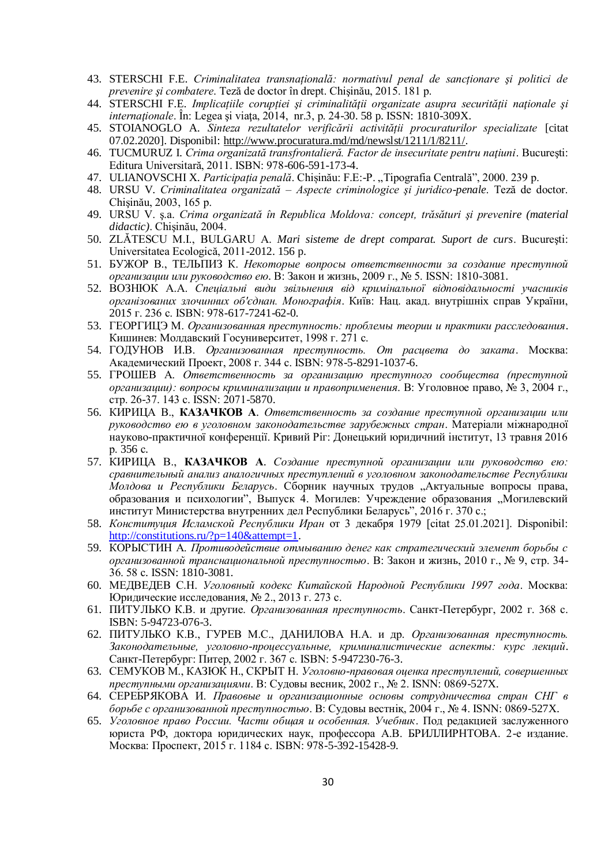- 43. STERSCHI F.E. *Criminalitatea transnațională: normativul penal de sancționare şi politici de prevenire şi combatere*. Teză de doctor în drept. Chişinău, 2015. 181 p.
- 44. STERSCHI F.E. *Implicațiile corupției şi criminalităţii organizate asupra securității naţionale şi internaţionale*. În: Legea şi viaţa, 2014, nr.3, p. 24-30. 58 p. ISSN: 1810-309X.
- 45. STOIANOGLO A. *Sinteza rezultatelor verificării activității procuraturilor specializate* [citat 07.02.2020]. Disponibil: [http://www.procuratura.md/md/newslst/1211/1/8211/.](http://www.procuratura.md/md/newslst/1211/1/8211/)
- 46. TUCMURUZ I. *Crima organizată transfrontalieră. Factor de insecuritate pentru naţiuni*. Bucureşti: Editura Universitară, 2011. ISBN: 978-606-591-173-4.
- 47. ULIANOVSCHI X. Participația penală. Chișinău: F.E:-P. "Tipografia Centrală", 2000. 239 p.
- 48. URSU V. *Criminalitatea organizată – Aspecte criminologice şi juridico-penale*. Teză de doctor. Chişinău, 2003, 165 p.
- 49. URSU V. ş.a. *Crima organizată în Republica Moldova: concept, trăsături şi prevenire (material didactic)*. Chişinău, 2004.
- 50. ZLĂTESCU M.I., BULGARU A. *Mari sisteme de drept comparat. Suport de curs*. Bucureşti: Universitatea Ecologică, 2011-2012. 156 p.
- 51. БУЖОР В., ТЕЛЬПИЗ К. *Некоторые вопросы ответственности за создание преступной организации или руководство ею*. В: Закон и жизнь, 2009 г., № 5. ISSN: 1810-3081.
- 52. ВОЗНЮК А.А. *Спеціальні види звільнення від кримінальної відповідальності учасників організованих злочинних об'єднан. Монографія*. Київ: Нац. акад. внутрішніх справ України, 2015 г. 236 c. ISBN: 978-617-7241-62-0.
- 53. ГЕОРГИЦЭ М. *Организованная преступность: проблемы теории и практики расследования*. Кишинев: Молдавский Госуниверситет, 1998 г. 271 c.
- 54. ГОДУНОВ И.В. *Организованная преступность. От расцвета до заката*. Москва: Академический Проект, 2008 г. 344 c. ISBN: 978-5-8291-1037-6.
- 55. ГРОШЕВ А. *Ответственность за организацию преступного сообщества (преступной организации): вопросы криминализации и правоприменения*. В: Уголовное право, № 3, 2004 г., стр. 26-37. 143 с. ISSN: 2071-5870.
- 56. КИРИЦА В., **КАЗАЧКОВ А**. *Ответственность за создание преступной организации или руководство ею в уголовном законодательстве зарубежных стран*. Матеріали міжнародної науково-практичної конференції. Кривий Ріг: Донецький юридичний інститут, 13 травня 2016 р. 356 с.
- 57. КИРИЦА В., **КАЗАЧКОВ А**. *Создание преступной организации или руководство ею: сравнительный анализ аналогичных преступлений в уголовном законодательстве Республики Молдова и Республики Беларусь*. Сборник научных трудов "Актуальные вопросы права, образования и психологии", Выпуск 4. Могилев: Учреждение образования "Могилевский институт Министерства внутренних дел Республики Беларусь", 2016 г. 370 c.;
- 58. *Конституция Исламской Республики Иран* от 3 декабря 1979 [citat 25.01.2021]. Disponibil: [http://constitutions.ru/?p=140&attempt=1.](http://constitutions.ru/?p=140&attempt=1)
- 59. КОРЫСТИН А. *Противодействие отмыванию денег как стратегический элемент борьбы с организованной транснациональной преступностью*. В: Закон и жизнь, 2010 г., № 9, стр. 34- 36. 58 с. ISSN: 1810-3081.
- 60. МЕДВЕДЕВ С.Н. *Уголовный кодекс Китайской Народной Республики 1997 года*. Москва: Юридические исследования, № 2., 2013 г. 273 с.
- 61. ПИТУЛЬКО К.В. и другие. *Организованная преступность*. Санкт-Петербург, 2002 г. 368 с. ISBN: 5-94723-076-3.
- 62. ПИТУЛЬКО К.В., ГУРЕВ М.С., ДАНИЛОВА Н.А. и др. *Организованная преступность. Законодательные, уголовно-процессуальные, криминалистические аспекты: курс лекций*. Санкт-Петербург: Питер, 2002 г. 367 с. ISBN: 5-947230-76-3.
- 63. СЕМУКОВ М., КАЗЮК Н., СКРЫТ Н. *Уголовно-правовая оценка преступлений, совершенных преступными организациями*. В: Судовы весник, 2002 г., № 2. ISNN: 0869-527X.
- 64. СЕРЕБРЯКОВА И. *Правовые и организационные основы сотрудничества стран СНГ в борьбе с организованной преступностью*. В: Судовы вестніқ, 2004 г., № 4. ISNN: 0869-527X.
- 65. *Уголовное право России. Части общая и особенная. Учебник*. Под редакцией заслуженного юриста РФ, доктора юридических наук, профессора А.В. БРИЛЛИРНТОВА. 2-е издание. Москва: Проспект, 2015 г. 1184 c. ISBN: 978-5-392-15428-9.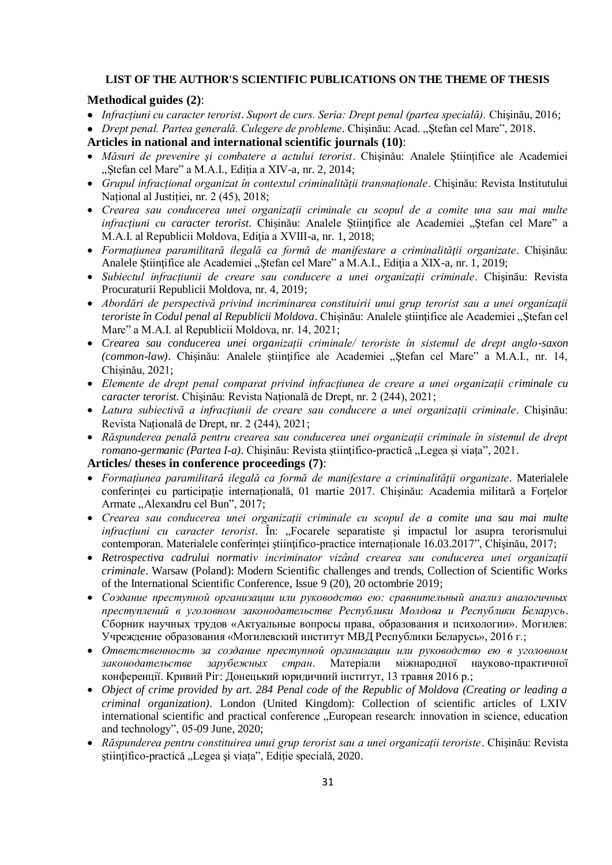#### **LIST OF THE AUTHOR'S SCIENTIFIC PUBLICATIONS ON THE THEME OF THESIS**

#### **Methodical guides (2)**:

- *Infracțiuni cu caracter terorist*. *Suport de curs. Seria: Drept penal (partea specială).* Chişinău, 2016;
- *Drept penal. Partea generală. Culegere de probleme*. Chişinău: Acad. "Ştefan cel Mare", 2018.
- **Articles in national and international scientific journals (10)**:
- *Măsuri de prevenire şi combatere a actului terorist*. Chişinău: Analele Științifice ale Academiei "Ștefan cel Mare" a M.A.I., Ediția a XIV-a, nr. 2, 2014;
- *Grupul infracțional organizat în contextul criminalității transnaționale*. Chişinău: Revista Institutului Național al Justiției, nr. 2 (45), 2018;
- **•** Crearea sau conducerea unei organizații criminale cu scopul de a comite una sau mai multe *infracțiuni cu caracter terorist*. Chișinău: Analele Științifice ale Academiei "Ștefan cel Mare" a M.A.I. al Republicii Moldova, Ediţia a XVIII-a, nr. 1, 2018;
- *Formațiunea paramilitară ilegală ca formă de manifestare a criminalităţii organizate*. Chișinău: Analele Ştiinţifice ale Academiei "Ştefan cel Mare" a M.A.I., Ediţia a XIX-a, nr. 1, 2019;
- *Subiectul infracțiunii de creare sau conducere a unei organizații criminale*. Chişinău: Revista Procuraturii Republicii Moldova, nr. 4, 2019;
- *Abordări de perspectivă privind incriminarea constituirii unui grup terorist sau a unei organizaţii teroriste în Codul penal al Republicii Moldova*. Chișinău: Analele științifice ale Academiei "Ștefan cel Mare" a M.A.I. al Republicii Moldova, nr. 14, 2021;
- *Crearea sau conducerea unei organizații criminale/ teroriste în sistemul de drept anglo-saxon (common-law)*. Chișinău: Analele științifice ale Academiei "Ștefan cel Mare" a M.A.I., nr. 14, Chișinău, 2021;
- *Elemente de drept penal comparat privind infracțiunea de creare a unei organizații criminale cu caracter terorist.* Chişinău: Revista Națională de Drept, nr. 2 (244), 2021;
- *Latura subiectivă a infracțiunii de creare sau conducere a unei organizații criminale*. Chişinău: Revista Națională de Drept, nr. 2 (244), 2021;
- *Răspunderea penală pentru crearea sau conducerea unei organizații criminale în sistemul de drept romano-germanic (Partea I-a)*. Chișinău: Revista științifico-practică "Legea și viața", 2021.

#### **Articles/ theses in conference proceedings (7)**:

- *Formațiunea paramilitară ilegală ca formă de manifestare a criminalității organizate*. Materialele conferinței cu participație internațională, 01 martie 2017. Chişinău: Academia militară a Forțelor Armate "Alexandru cel Bun", 2017;
- *Crearea sau conducerea unei organizații criminale cu scopul de a comite una sau mai multe infracțiuni cu caracter terorist*. În: "Focarele separatiste şi impactul lor asupra terorismului contemporan. Materialele conferinței științifico-practice internaționale 16.03.2017", Chișinău, 2017;
- *Retrospectiva cadrului normativ incriminator vizând crearea sau conducerea unei organizații criminale*. Warsaw (Poland): Modern Scientific challenges and trends, Collection of Scientific Works of the International Scientific Conference, Issue 9 (20), 20 octombrie 2019;
- *Создание преступной организации или руководство ею: сравнительный анализ аналогичных преступлений в уголовном законодательстве Республики Молдова и Республики Беларусь*. Сборник научных трудов «Актуальные вопросы права, образования и психологии». Могилев: Учреждение образования «Могилевский институт МВД Республики Беларусь», 2016 г.;
- *Ответственность за создание преступной организации или руководство ею в уголовном законодательстве зарубежных стран*. Матеріали міжнародної науково-практичної конференції. Кривий Ріг: Донецький юридичний інститут, 13 травня 2016 р.;
- *Object of crime provided by art. 284 Penal code of the Republic of Moldova (Creating or leading a criminal organization)*. London (United Kingdom): Collection of scientific articles of LXIV international scientific and practical conference "European research: innovation in science, education and technology", 05-09 June, 2020;
- *Răspunderea pentru constituirea unui grup terorist sau a unei organizații teroriste*. Chişinău: Revista științifico-practică "Legea și viața", Ediție specială, 2020.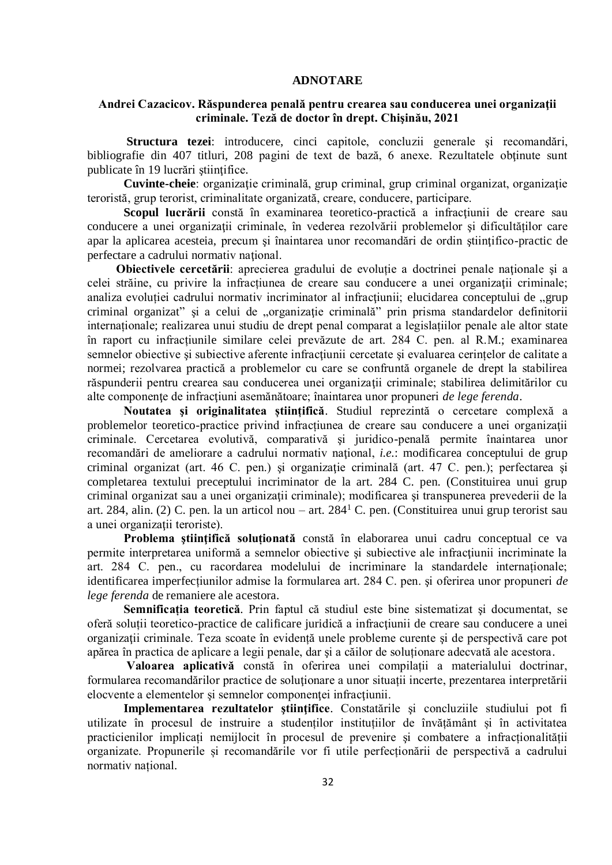#### **ADNOTARE**

### **Andrei Cazacicov. Răspunderea penală pentru crearea sau conducerea unei organizaţii criminale. Teză de doctor în drept. Chişinău, 2021**

**Structura tezei**: introducere, cinci capitole, concluzii generale şi recomandări, bibliografie din 407 titluri, 208 pagini de text de bază, 6 anexe. Rezultatele obţinute sunt publicate în 19 lucrări ştiinţifice.

**Cuvinte-cheie**: organizaţie criminală, grup criminal, grup criminal organizat, organizaţie teroristă, grup terorist, criminalitate organizată, creare, conducere, participare.

Scopul lucrării constă în examinarea teoretico-practică a infracțiunii de creare sau conducere a unei organizaţii criminale, în vederea rezolvării problemelor şi dificultăților care apar la aplicarea acesteia, precum şi înaintarea unor recomandări de ordin ştiinţifico-practic de perfectare a cadrului normativ naţional.

**Obiectivele cercetării**: aprecierea gradului de evoluție a doctrinei penale naţionale şi a celei străine, cu privire la infracțiunea de creare sau conducere a unei organizaţii criminale; analiza evoluției cadrului normativ incriminator al infracțiunii; elucidarea conceptului de "grup criminal organizat" și a celui de "organizație criminală" prin prisma standardelor definitorii internaționale; realizarea unui studiu de drept penal comparat a legislațiilor penale ale altor state în raport cu infracțiunile similare celei prevăzute de art. 284 C. pen. al R.M.; examinarea semnelor obiective și subiective aferente infracțiunii cercetate și evaluarea cerințelor de calitate a normei; rezolvarea practică a problemelor cu care se confruntă organele de drept la stabilirea răspunderii pentru crearea sau conducerea unei organizaţii criminale; stabilirea delimitărilor cu alte componenţe de infracţiuni asemănătoare; înaintarea unor propuneri *de lege ferenda*.

**Noutatea şi originalitatea științifică**. Studiul reprezintă o cercetare complexă a problemelor teoretico-practice privind infracțiunea de creare sau conducere a unei organizaţii criminale. Cercetarea evolutivă, comparativă şi juridico-penală permite înaintarea unor recomandări de ameliorare a cadrului normativ naţional, *i.e.*: modificarea conceptului de grup criminal organizat (art. 46 C. pen.) şi organizaţie criminală (art. 47 C. pen.); perfectarea şi completarea textului preceptului incriminator de la art. 284 C. pen. (Constituirea unui grup criminal organizat sau a unei organizaţii criminale); modificarea şi transpunerea prevederii de la art. 284, alin. (2) C. pen. la un articol nou – art. 284<sup>1</sup> C. pen. (Constituirea unui grup terorist sau a unei organizații teroriste).

**Problema ştiinţifică soluționată** constă în elaborarea unui cadru conceptual ce va permite interpretarea uniformă a semnelor obiective şi subiective ale infracţiunii incriminate la art. 284 C. pen., cu racordarea modelului de incriminare la standardele internaționale; identificarea imperfecțiunilor admise la formularea art. 284 C. pen. şi oferirea unor propuneri *de lege ferenda* de remaniere ale acestora.

**Semnificația teoretică**. Prin faptul că studiul este bine sistematizat şi documentat, se oferă soluții teoretico-practice de calificare juridică a infracţiunii de creare sau conducere a unei organizaţii criminale. Teza scoate în evidență unele probleme curente şi de perspectivă care pot apărea în practica de aplicare a legii penale, dar şi a căilor de soluționare adecvată ale acestora.

**Valoarea aplicativă** constă în oferirea unei compilații a materialului doctrinar, formularea recomandărilor practice de soluţionare a unor situații incerte, prezentarea interpretării elocvente a elementelor și semnelor componenței infracțiunii.

**Implementarea rezultatelor ştiinţifice**. Constatările şi concluziile studiului pot fi utilizate în procesul de instruire a studenților instituțiilor de învățământ și în activitatea practicienilor implicați nemijlocit în procesul de prevenire şi combatere a infracționalității organizate. Propunerile și recomandările vor fi utile perfecționării de perspectivă a cadrului normativ național.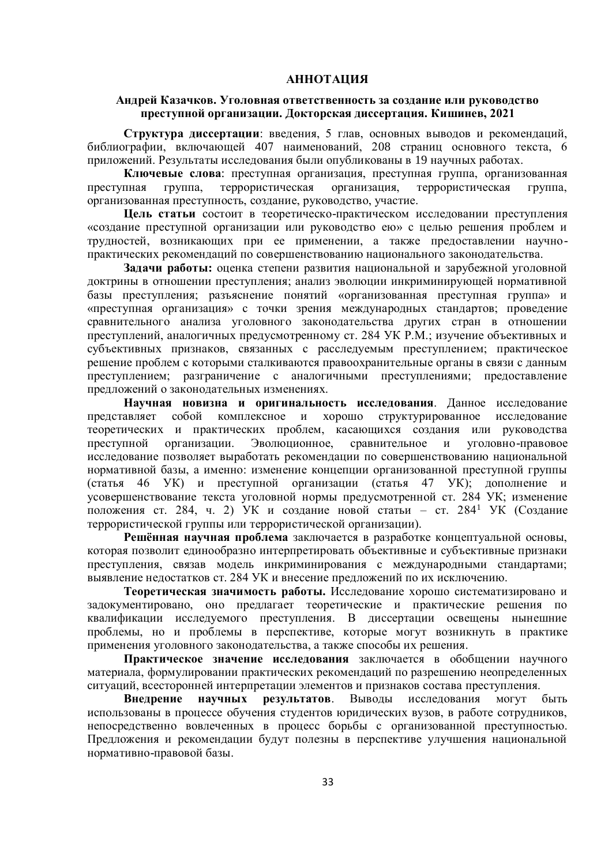#### **АННОТАЦИЯ**

#### **Андрей Казачков. Уголовная ответственность за создание или руководство преступной организации. Докторская диссертация. Кишинев, 2021**

**Структура диссертации**: введения, 5 глав, основных выводов и рекомендаций, библиографии, включающей 407 наименований, 208 страниц основного текста, 6 приложений. Результаты исследования были опубликованы в 19 научных работах.

**Ключевые слова**: преступная организация, преступная группа, организованная преступная группа, террористическая организация, террористическая группа, организованная преступность, создание, руководство, участие.

**Цель статьи** состоит в теоретическо-практическом исследовании преступления «создание преступной организации или руководство ею» с целью решения проблем и трудностей, возникающих при ее применении, а также предоставлении научнопрактических рекомендаций по совершенствованию национального законодательства.

**Задачи работы:** оценка степени развития национальной и зарубежной уголовной доктрины в отношении преступления; анализ эволюции инкриминирующей нормативной базы преступления; разъяснение понятий «организованная преступная группа» и «преступная организация» с точки зрения международных стандартов; проведение сравнительного анализа уголовного законодательства других стран в отношении преступлений, аналогичных предусмотренному ст. 284 УК Р.М.; изучение объективных и субъективных признаков, связанных с расследуемым преступлением; практическое решение проблем с которыми сталкиваются правоохранительные органы в связи с данным преступлением; разграничение с аналогичными преступлениями; предоставление предложений о законодательных изменениях.

**Научная новизна и оригинальность исследования**. Данное исследование представляет собой комплексное и хорошо структурированное исследование теоретических и практических проблем, касающихся создания или руководства преступной организации. Эволюционное, сравнительное и уголовно-правовое исследование позволяет выработать рекомендации по совершенствованию национальной нормативной базы, а именно: изменение концепции организованной преступной группы (статья 46 УК) и преступной организации (статья 47 УК); дополнение и усовершенствование текста уголовной нормы предусмотренной ст. 284 УК; изменение положения ст. 284, ч. 2) УК и создание новой статьи – ст. 284<sup>1</sup> УК (Создание террористической группы или террористической организации).

**Решённая научная проблема** заключается в разработке концептуальной основы, которая позволит единообразно интерпретировать объективные и субъективные признаки преступления, связав модель инкриминирования с международными стандартами; выявление недостатков ст. 284 УК и внесение предложений по их исключению.

**Теоретическая значимость работы.** Исследование хорошо систематизировано и задокументировано, оно предлагает теоретические и практические решения по квалификации исследуемого преступления. В диссертации освещены нынешние проблемы, но и проблемы в перспективе, которые могут возникнуть в практике применения уголовного законодательства, а также способы их решения.

**Практическое значение исследования** заключается в обобщении научного материала, формулировании практических рекомендаций по разрешению неопределенных ситуаций, всесторонней интерпретации элементов и признаков состава преступления.

**Внедрение научных результатов**. Выводы исследования могут быть использованы в процессе обучения студентов юридических вузов, в работе сотрудников, непосредственно вовлеченных в процесс борьбы с организованной преступностью. Предложения и рекомендации будут полезны в перспективе улучшения национальной нормативно-правовой базы.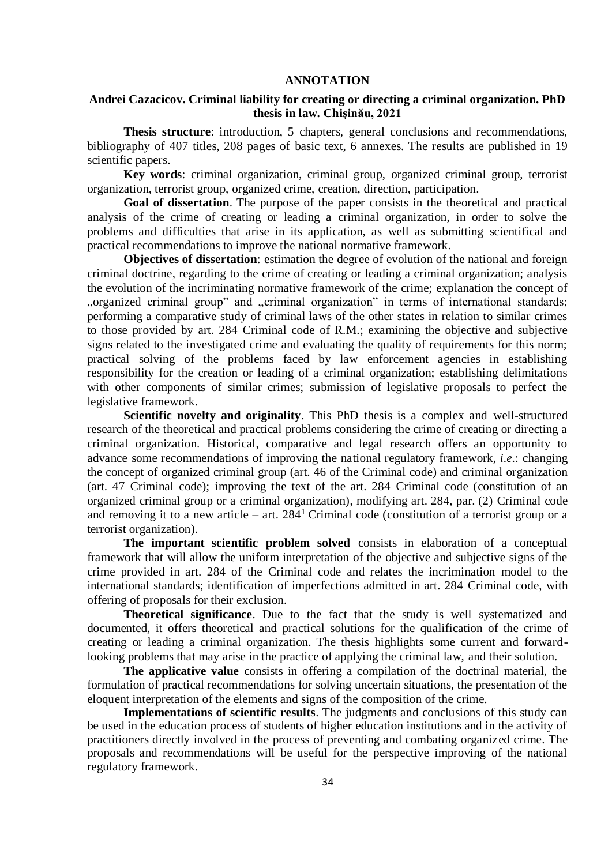#### **ANNOTATION**

### **Andrei Cazacicov. Criminal liability for creating or directing a criminal organization. PhD thesis in law. Chişinău, 2021**

**Thesis structure**: introduction, 5 chapters, general conclusions and recommendations, bibliography of 407 titles, 208 pages of basic text, 6 annexes. The results are published in 19 scientific papers.

**Key words**: criminal organization, criminal group, organized criminal group, terrorist organization, terrorist group, organized crime, creation, direction, participation.

**Goal of dissertation**. The purpose of the paper consists in the theoretical and practical analysis of the crime of creating or leading a criminal organization, in order to solve the problems and difficulties that arise in its application, as well as submitting scientifical and practical recommendations to improve the national normative framework.

**Objectives of dissertation**: estimation the degree of evolution of the national and foreign criminal doctrine, regarding to the crime of creating or leading a criminal organization; analysis the evolution of the incriminating normative framework of the crime; explanation the concept of "organized criminal group" and "criminal organization" in terms of international standards; performing a comparative study of criminal laws of the other states in relation to similar crimes to those provided by art. 284 Criminal code of R.M.; examining the objective and subjective signs related to the investigated crime and evaluating the quality of requirements for this norm; practical solving of the problems faced by law enforcement agencies in establishing responsibility for the creation or leading of a criminal organization; establishing delimitations with other components of similar crimes; submission of legislative proposals to perfect the legislative framework.

**Scientific novelty and originality**. This PhD thesis is a complex and well-structured research of the theoretical and practical problems considering the crime of creating or directing a criminal organization. Historical, comparative and legal research offers an opportunity to advance some recommendations of improving the national regulatory framework, *i.e.*: changing the concept of organized criminal group (art. 46 of the Criminal code) and criminal organization (art. 47 Criminal code); improving the text of the art. 284 Criminal code (constitution of an organized criminal group or a criminal organization), modifying art. 284, par. (2) Criminal code and removing it to a new article – art.  $284<sup>1</sup>$  Criminal code (constitution of a terrorist group or a terrorist organization).

**The important scientific problem solved** consists in elaboration of a conceptual framework that will allow the uniform interpretation of the objective and subjective signs of the crime provided in art. 284 of the Criminal code and relates the incrimination model to the international standards; identification of imperfections admitted in art. 284 Criminal code, with offering of proposals for their exclusion.

**Theoretical significance**. Due to the fact that the study is well systematized and documented, it offers theoretical and practical solutions for the qualification of the crime of creating or leading a criminal organization. The thesis highlights some current and forwardlooking problems that may arise in the practice of applying the criminal law, and their solution.

**The applicative value** consists in offering a compilation of the doctrinal material, the formulation of practical recommendations for solving uncertain situations, the presentation of the eloquent interpretation of the elements and signs of the composition of the crime.

**Implementations of scientific results**. The judgments and conclusions of this study can be used in the education process of students of higher education institutions and in the activity of practitioners directly involved in the process of preventing and combating organized crime. The proposals and recommendations will be useful for the perspective improving of the national regulatory framework.